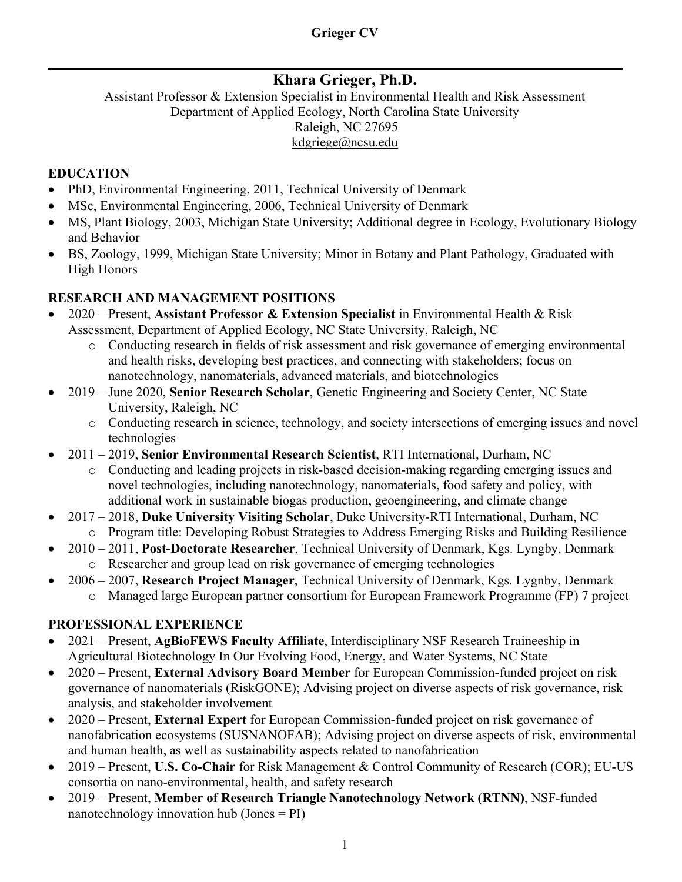## **Khara Grieger, Ph.D.**

 $\_$  , and the set of the set of the set of the set of the set of the set of the set of the set of the set of the set of the set of the set of the set of the set of the set of the set of the set of the set of the set of th

Assistant Professor & Extension Specialist in Environmental Health and Risk Assessment Department of Applied Ecology, North Carolina State University Raleigh, NC 27695 kdgriege@ncsu.edu

#### **EDUCATION**

- PhD, Environmental Engineering, 2011, Technical University of Denmark
- MSc, Environmental Engineering, 2006, Technical University of Denmark
- MS, Plant Biology, 2003, Michigan State University; Additional degree in Ecology, Evolutionary Biology and Behavior
- BS, Zoology, 1999, Michigan State University; Minor in Botany and Plant Pathology, Graduated with High Honors

## **RESEARCH AND MANAGEMENT POSITIONS**

- 2020 Present, **Assistant Professor & Extension Specialist** in Environmental Health & Risk Assessment, Department of Applied Ecology, NC State University, Raleigh, NC
	- o Conducting research in fields of risk assessment and risk governance of emerging environmental and health risks, developing best practices, and connecting with stakeholders; focus on nanotechnology, nanomaterials, advanced materials, and biotechnologies
- 2019 June 2020, **Senior Research Scholar**, Genetic Engineering and Society Center, NC State University, Raleigh, NC
	- o Conducting research in science, technology, and society intersections of emerging issues and novel technologies
- 2011 2019, **Senior Environmental Research Scientist**, RTI International, Durham, NC
	- o Conducting and leading projects in risk-based decision-making regarding emerging issues and novel technologies, including nanotechnology, nanomaterials, food safety and policy, with additional work in sustainable biogas production, geoengineering, and climate change
- 2017 2018, **Duke University Visiting Scholar**, Duke University-RTI International, Durham, NC o Program title: Developing Robust Strategies to Address Emerging Risks and Building Resilience
- 2010 2011, **Post-Doctorate Researcher**, Technical University of Denmark, Kgs. Lyngby, Denmark o Researcher and group lead on risk governance of emerging technologies
- 2006 2007, **Research Project Manager**, Technical University of Denmark, Kgs. Lygnby, Denmark
	- o Managed large European partner consortium for European Framework Programme (FP) 7 project

#### **PROFESSIONAL EXPERIENCE**

- 2021 Present, **AgBioFEWS Faculty Affiliate**, Interdisciplinary NSF Research Traineeship in Agricultural Biotechnology In Our Evolving Food, Energy, and Water Systems, NC State
- 2020 Present, **External Advisory Board Member** for European Commission-funded project on risk governance of nanomaterials (RiskGONE); Advising project on diverse aspects of risk governance, risk analysis, and stakeholder involvement
- 2020 Present, **External Expert** for European Commission-funded project on risk governance of nanofabrication ecosystems (SUSNANOFAB); Advising project on diverse aspects of risk, environmental and human health, as well as sustainability aspects related to nanofabrication
- 2019 Present, **U.S. Co-Chair** for Risk Management & Control Community of Research (COR); EU-US consortia on nano-environmental, health, and safety research
- 2019 Present, **Member of Research Triangle Nanotechnology Network (RTNN)**, NSF-funded nanotechnology innovation hub (Jones = PI)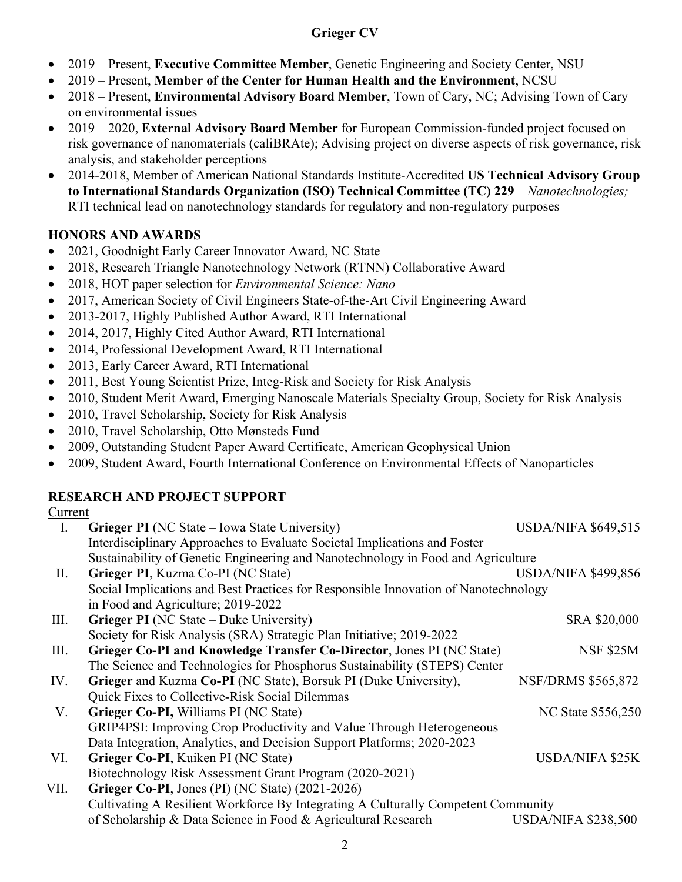- 2019 Present, **Executive Committee Member**, Genetic Engineering and Society Center, NSU
- 2019 Present, **Member of the Center for Human Health and the Environment**, NCSU
- 2018 Present, **Environmental Advisory Board Member**, Town of Cary, NC; Advising Town of Cary on environmental issues
- 2019 2020, **External Advisory Board Member** for European Commission-funded project focused on risk governance of nanomaterials (caliBRAte); Advising project on diverse aspects of risk governance, risk analysis, and stakeholder perceptions
- 2014-2018, Member of American National Standards Institute-Accredited **US Technical Advisory Group to International Standards Organization (ISO) Technical Committee (TC) 229** – *Nanotechnologies;*  RTI technical lead on nanotechnology standards for regulatory and non-regulatory purposes

## **HONORS AND AWARDS**

- 2021, Goodnight Early Career Innovator Award, NC State
- 2018, Research Triangle Nanotechnology Network (RTNN) Collaborative Award
- 2018, HOT paper selection for *Environmental Science: Nano*
- 2017, American Society of Civil Engineers State-of-the-Art Civil Engineering Award
- 2013-2017, Highly Published Author Award, RTI International
- 2014, 2017, Highly Cited Author Award, RTI International
- 2014, Professional Development Award, RTI International
- 2013, Early Career Award, RTI International
- 2011, Best Young Scientist Prize, Integ-Risk and Society for Risk Analysis
- 2010, Student Merit Award, Emerging Nanoscale Materials Specialty Group, Society for Risk Analysis
- 2010, Travel Scholarship, Society for Risk Analysis
- 2010, Travel Scholarship, Otto Mønsteds Fund
- 2009, Outstanding Student Paper Award Certificate, American Geophysical Union
- 2009, Student Award, Fourth International Conference on Environmental Effects of Nanoparticles

## **RESEARCH AND PROJECT SUPPORT**

#### Current

| $\mathbf{I}$ . | <b>Grieger PI</b> (NC State – Iowa State University)                                | <b>USDA/NIFA \$649,515</b> |  |  |  |  |
|----------------|-------------------------------------------------------------------------------------|----------------------------|--|--|--|--|
|                | Interdisciplinary Approaches to Evaluate Societal Implications and Foster           |                            |  |  |  |  |
|                | Sustainability of Genetic Engineering and Nanotechnology in Food and Agriculture    |                            |  |  |  |  |
| П.             | Grieger PI, Kuzma Co-PI (NC State)                                                  | <b>USDA/NIFA \$499,856</b> |  |  |  |  |
|                | Social Implications and Best Practices for Responsible Innovation of Nanotechnology |                            |  |  |  |  |
|                | in Food and Agriculture; 2019-2022                                                  |                            |  |  |  |  |
| Ш.             | <b>Grieger PI</b> (NC State – Duke University)                                      | SRA \$20,000               |  |  |  |  |
|                | Society for Risk Analysis (SRA) Strategic Plan Initiative; 2019-2022                |                            |  |  |  |  |
| Ш.             | Grieger Co-PI and Knowledge Transfer Co-Director, Jones PI (NC State)               | <b>NSF \$25M</b>           |  |  |  |  |
|                | The Science and Technologies for Phosphorus Sustainability (STEPS) Center           |                            |  |  |  |  |
| IV.            | Grieger and Kuzma Co-PI (NC State), Borsuk PI (Duke University),                    | <b>NSF/DRMS \$565,872</b>  |  |  |  |  |
|                | Quick Fixes to Collective-Risk Social Dilemmas                                      |                            |  |  |  |  |
| V.             | Grieger Co-PI, Williams PI (NC State)                                               | NC State \$556,250         |  |  |  |  |
|                | GRIP4PSI: Improving Crop Productivity and Value Through Heterogeneous               |                            |  |  |  |  |
|                | Data Integration, Analytics, and Decision Support Platforms; 2020-2023              |                            |  |  |  |  |
| VI.            | Grieger Co-PI, Kuiken PI (NC State)                                                 | <b>USDA/NIFA \$25K</b>     |  |  |  |  |
|                | Biotechnology Risk Assessment Grant Program (2020-2021)                             |                            |  |  |  |  |
| VII.           | Grieger Co-PI, Jones (PI) (NC State) (2021-2026)                                    |                            |  |  |  |  |
|                | Cultivating A Resilient Workforce By Integrating A Culturally Competent Community   |                            |  |  |  |  |
|                | of Scholarship & Data Science in Food & Agricultural Research                       | <b>USDA/NIFA \$238,500</b> |  |  |  |  |
|                |                                                                                     |                            |  |  |  |  |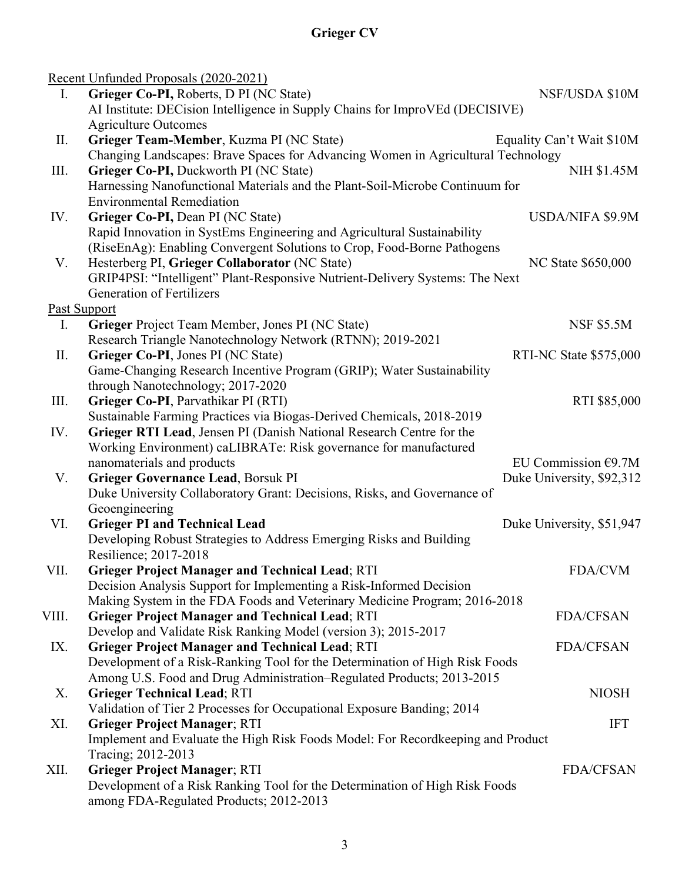|       | Recent Unfunded Proposals (2020-2021)                                            |                           |
|-------|----------------------------------------------------------------------------------|---------------------------|
| I.    | Grieger Co-PI, Roberts, D PI (NC State)                                          | NSF/USDA \$10M            |
|       | AI Institute: DECision Intelligence in Supply Chains for ImproVEd (DECISIVE)     |                           |
|       | <b>Agriculture Outcomes</b>                                                      |                           |
| П.    | Grieger Team-Member, Kuzma PI (NC State)                                         | Equality Can't Wait \$10M |
|       | Changing Landscapes: Brave Spaces for Advancing Women in Agricultural Technology |                           |
| III.  | Grieger Co-PI, Duckworth PI (NC State)                                           | <b>NIH \$1.45M</b>        |
|       | Harnessing Nanofunctional Materials and the Plant-Soil-Microbe Continuum for     |                           |
|       | <b>Environmental Remediation</b>                                                 |                           |
| IV.   | Grieger Co-PI, Dean PI (NC State)                                                | <b>USDA/NIFA \$9.9M</b>   |
|       | Rapid Innovation in SystEms Engineering and Agricultural Sustainability          |                           |
|       | (RiseEnAg): Enabling Convergent Solutions to Crop, Food-Borne Pathogens          |                           |
| V.    | Hesterberg PI, Grieger Collaborator (NC State)                                   | NC State \$650,000        |
|       | GRIP4PSI: "Intelligent" Plant-Responsive Nutrient-Delivery Systems: The Next     |                           |
|       | <b>Generation of Fertilizers</b>                                                 |                           |
|       | Past Support                                                                     |                           |
| Ι.    | Grieger Project Team Member, Jones PI (NC State)                                 | <b>NSF \$5.5M</b>         |
|       | Research Triangle Nanotechnology Network (RTNN); 2019-2021                       |                           |
| П.    | Grieger Co-PI, Jones PI (NC State)                                               | RTI-NC State \$575,000    |
|       | Game-Changing Research Incentive Program (GRIP); Water Sustainability            |                           |
|       | through Nanotechnology; 2017-2020                                                |                           |
| III.  | Grieger Co-PI, Parvathikar PI (RTI)                                              | RTI \$85,000              |
|       | Sustainable Farming Practices via Biogas-Derived Chemicals, 2018-2019            |                           |
| IV.   | Grieger RTI Lead, Jensen PI (Danish National Research Centre for the             |                           |
|       | Working Environment) caLIBRATe: Risk governance for manufactured                 |                           |
|       | nanomaterials and products                                                       | EU Commission $€9.7M$     |
| V.    | Grieger Governance Lead, Borsuk PI                                               | Duke University, \$92,312 |
|       | Duke University Collaboratory Grant: Decisions, Risks, and Governance of         |                           |
|       | Geoengineering                                                                   |                           |
| VI.   | <b>Grieger PI and Technical Lead</b>                                             | Duke University, \$51,947 |
|       | Developing Robust Strategies to Address Emerging Risks and Building              |                           |
|       | Resilience; 2017-2018                                                            |                           |
| VII.  | <b>Grieger Project Manager and Technical Lead; RTI</b>                           | <b>FDA/CVM</b>            |
|       | Decision Analysis Support for Implementing a Risk-Informed Decision              |                           |
|       | Making System in the FDA Foods and Veterinary Medicine Program; 2016-2018        |                           |
| VIII. | <b>Grieger Project Manager and Technical Lead; RTI</b>                           | <b>FDA/CFSAN</b>          |
|       | Develop and Validate Risk Ranking Model (version 3); 2015-2017                   |                           |
| IX.   | <b>Grieger Project Manager and Technical Lead; RTI</b>                           | <b>FDA/CFSAN</b>          |
|       | Development of a Risk-Ranking Tool for the Determination of High Risk Foods      |                           |
|       | Among U.S. Food and Drug Administration-Regulated Products; 2013-2015            |                           |
| Х.    | <b>Grieger Technical Lead; RTI</b>                                               | <b>NIOSH</b>              |
|       | Validation of Tier 2 Processes for Occupational Exposure Banding; 2014           |                           |
| XI.   | <b>Grieger Project Manager; RTI</b>                                              | <b>IFT</b>                |
|       | Implement and Evaluate the High Risk Foods Model: For Recordkeeping and Product  |                           |
|       | Tracing; 2012-2013                                                               |                           |
| XII.  | <b>Grieger Project Manager; RTI</b>                                              | <b>FDA/CFSAN</b>          |
|       | Development of a Risk Ranking Tool for the Determination of High Risk Foods      |                           |
|       | among FDA-Regulated Products; 2012-2013                                          |                           |
|       |                                                                                  |                           |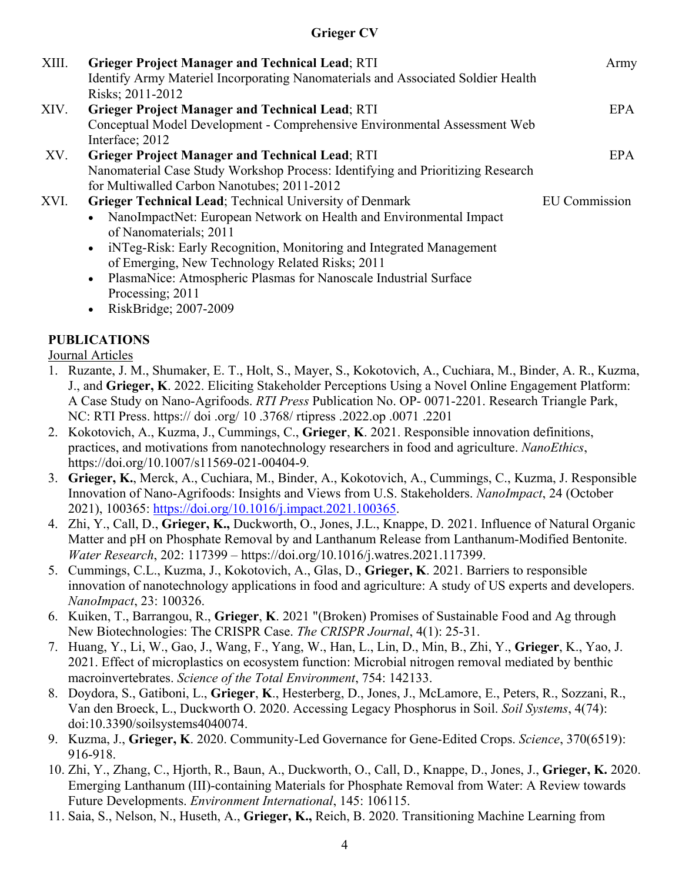| XIII. | <b>Grieger Project Manager and Technical Lead; RTI</b><br>Identify Army Materiel Incorporating Nanomaterials and Associated Soldier Health<br>Risks; 2011-2012                                                                                                                                                                                                                                      | Army                 |
|-------|-----------------------------------------------------------------------------------------------------------------------------------------------------------------------------------------------------------------------------------------------------------------------------------------------------------------------------------------------------------------------------------------------------|----------------------|
| XIV.  | <b>Grieger Project Manager and Technical Lead; RTI</b><br>Conceptual Model Development - Comprehensive Environmental Assessment Web<br>Interface; 2012                                                                                                                                                                                                                                              | <b>EPA</b>           |
| XV.   | <b>Grieger Project Manager and Technical Lead; RTI</b><br>Nanomaterial Case Study Workshop Process: Identifying and Prioritizing Research<br>for Multiwalled Carbon Nanotubes; 2011-2012                                                                                                                                                                                                            | <b>EPA</b>           |
| XVI.  | Grieger Technical Lead; Technical University of Denmark<br>NanoImpactNet: European Network on Health and Environmental Impact<br>of Nanomaterials; 2011<br>iNTeg-Risk: Early Recognition, Monitoring and Integrated Management<br>$\bullet$<br>of Emerging, New Technology Related Risks; 2011<br>PlasmaNice: Atmospheric Plasmas for Nanoscale Industrial Surface<br>$\bullet$<br>Processing; 2011 | <b>EU</b> Commission |

• RiskBridge; 2007-2009

## **PUBLICATIONS**

Journal Articles

- 1. Ruzante, J. M., Shumaker, E. T., Holt, S., Mayer, S., Kokotovich, A., Cuchiara, M., Binder, A. R., Kuzma, J., and **Grieger, K**. 2022. Eliciting Stakeholder Perceptions Using a Novel Online Engagement Platform: A Case Study on Nano-Agrifoods. *RTI Press* Publication No. OP- 0071-2201. Research Triangle Park, NC: RTI Press. https:// doi .org/ 10 .3768/ rtipress .2022.op .0071 .2201
- 2. Kokotovich, A., Kuzma, J., Cummings, C., **Grieger**, **K**. 2021. Responsible innovation definitions, practices, and motivations from nanotechnology researchers in food and agriculture. *NanoEthics*, https://doi.org/10.1007/s11569-021-00404-9*.*
- 3. **Grieger, K.**, Merck, A., Cuchiara, M., Binder, A., Kokotovich, A., Cummings, C., Kuzma, J. Responsible Innovation of Nano-Agrifoods: Insights and Views from U.S. Stakeholders. *NanoImpact*, 24 (October 2021), 100365: [https://doi.org/10.1016/j.impact.2021.100365.](https://doi.org/10.1016/j.impact.2021.100365)
- 4. Zhi, Y., Call, D., **Grieger, K.,** Duckworth, O., Jones, J.L., Knappe, D. 2021. Influence of Natural Organic Matter and pH on Phosphate Removal by and Lanthanum Release from Lanthanum-Modified Bentonite. *Water Research*, 202: 117399 *–* https://doi.org/10.1016/j.watres.2021.117399.
- 5. Cummings, C.L., Kuzma, J., Kokotovich, A., Glas, D., **Grieger, K**. 2021. Barriers to responsible innovation of nanotechnology applications in food and agriculture: A study of US experts and developers. *NanoImpact*, 23: 100326.
- 6. Kuiken, T., Barrangou, R., **Grieger**, **K**. 2021 "(Broken) Promises of Sustainable Food and Ag through New Biotechnologies: The CRISPR Case. *The CRISPR Journal*, 4(1): 25-31.
- 7. Huang, Y., Li, W., Gao, J., Wang, F., Yang, W., Han, L., Lin, D., Min, B., Zhi, Y., **Grieger**, K., Yao, J. 2021. Effect of microplastics on ecosystem function: Microbial nitrogen removal mediated by benthic macroinvertebrates. *Science of the Total Environment*, 754: 142133.
- 8. Doydora, S., Gatiboni, L., **Grieger**, **K**., Hesterberg, D., Jones, J., McLamore, E., Peters, R., Sozzani, R., Van den Broeck, L., Duckworth O. 2020. Accessing Legacy Phosphorus in Soil. *Soil Systems*, 4(74): doi:10.3390/soilsystems4040074.
- 9. Kuzma, J., **Grieger, K**. 2020. Community-Led Governance for Gene-Edited Crops. *Science*, 370(6519): 916-918.
- 10. Zhi, Y., Zhang, C., Hjorth, R., Baun, A., Duckworth, O., Call, D., Knappe, D., Jones, J., **Grieger, K.** 2020. Emerging Lanthanum (III)-containing Materials for Phosphate Removal from Water: A Review towards Future Developments. *Environment International*, 145: 106115.
- 11. Saia, S., Nelson, N., Huseth, A., **Grieger, K.,** Reich, B. 2020. Transitioning Machine Learning from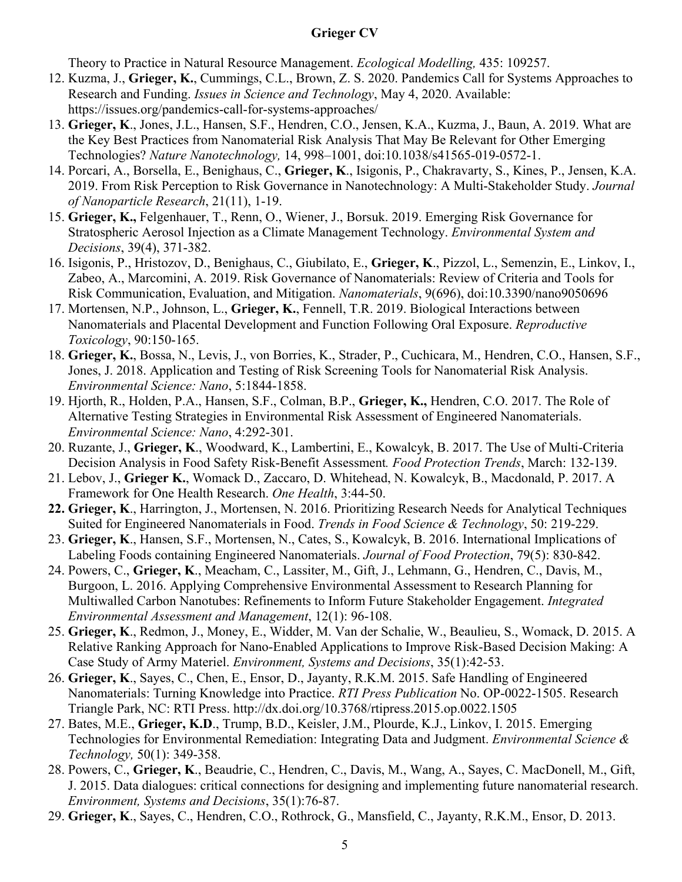Theory to Practice in Natural Resource Management. *Ecological Modelling,* 435: 109257.

- 12. Kuzma, J., **Grieger, K.**, Cummings, C.L., Brown, Z. S. 2020. Pandemics Call for Systems Approaches to Research and Funding. *Issues in Science and Technology*, May 4, 2020. Available: https://issues.org/pandemics-call-for-systems-approaches/
- 13. **Grieger, K**., Jones, J.L., Hansen, S.F., Hendren, C.O., Jensen, K.A., Kuzma, J., Baun, A. 2019. What are the Key Best Practices from Nanomaterial Risk Analysis That May Be Relevant for Other Emerging Technologies? *Nature Nanotechnology,* 14, 998–1001, doi:10.1038/s41565-019-0572-1.
- 14. Porcari, A., Borsella, E., Benighaus, C., **Grieger, K**., Isigonis, P., Chakravarty, S., Kines, P., Jensen, K.A. 2019. From Risk Perception to Risk Governance in Nanotechnology: A Multi-Stakeholder Study. *Journal of Nanoparticle Research*, 21(11), 1-19.
- 15. **Grieger, K.,** Felgenhauer, T., Renn, O., Wiener, J., Borsuk. 2019. Emerging Risk Governance for Stratospheric Aerosol Injection as a Climate Management Technology. *Environmental System and Decisions*, 39(4), 371-382.
- 16. Isigonis, P., Hristozov, D., Benighaus, C., Giubilato, E., **Grieger, K**., Pizzol, L., Semenzin, E., Linkov, I., Zabeo, A., Marcomini, A. 2019. Risk Governance of Nanomaterials: Review of Criteria and Tools for Risk Communication, Evaluation, and Mitigation. *Nanomaterials*, 9(696), doi:10.3390/nano9050696
- 17. Mortensen, N.P., Johnson, L., **Grieger, K.**, Fennell, T.R. 2019. Biological Interactions between Nanomaterials and Placental Development and Function Following Oral Exposure. *Reproductive Toxicology*, 90:150-165.
- 18. **Grieger, K.**, Bossa, N., Levis, J., von Borries, K., Strader, P., Cuchicara, M., Hendren, C.O., Hansen, S.F., Jones, J. 2018. Application and Testing of Risk Screening Tools for Nanomaterial Risk Analysis. *Environmental Science: Nano*, 5:1844-1858.
- 19. Hjorth, R., Holden, P.A., Hansen, S.F., Colman, B.P., **Grieger, K.,** Hendren, C.O. 2017. The Role of Alternative Testing Strategies in Environmental Risk Assessment of Engineered Nanomaterials. *Environmental Science: Nano*, 4:292-301.
- 20. Ruzante, J., **Grieger, K**., Woodward, K., Lambertini, E., Kowalcyk, B. 2017. The Use of Multi-Criteria Decision Analysis in Food Safety Risk-Benefit Assessment*. Food Protection Trends*, March: 132-139.
- 21. Lebov, J., **Grieger K.**, Womack D., Zaccaro, D. Whitehead, N. Kowalcyk, B., Macdonald, P. 2017. A Framework for One Health Research. *One Health*, 3:44-50.
- **22. Grieger, K**., Harrington, J., Mortensen, N. 2016. Prioritizing Research Needs for Analytical Techniques Suited for Engineered Nanomaterials in Food. *Trends in Food Science & Technology*, 50: 219-229.
- 23. **Grieger, K**., Hansen, S.F., Mortensen, N., Cates, S., Kowalcyk, B. 2016. International Implications of Labeling Foods containing Engineered Nanomaterials. *Journal of Food Protection*, 79(5): 830-842.
- 24. Powers, C., **Grieger, K**., Meacham, C., Lassiter, M., Gift, J., Lehmann, G., Hendren, C., Davis, M., Burgoon, L. 2016. Applying Comprehensive Environmental Assessment to Research Planning for Multiwalled Carbon Nanotubes: Refinements to Inform Future Stakeholder Engagement. *Integrated Environmental Assessment and Management*, 12(1): 96-108.
- 25. **Grieger, K**., Redmon, J., Money, E., Widder, M. Van der Schalie, W., Beaulieu, S., Womack, D. 2015. A Relative Ranking Approach for Nano-Enabled Applications to Improve Risk-Based Decision Making: A Case Study of Army Materiel. *Environment, Systems and Decisions*, 35(1):42-53.
- 26. **Grieger, K**., Sayes, C., Chen, E., Ensor, D., Jayanty, R.K.M. 2015. Safe Handling of Engineered Nanomaterials: Turning Knowledge into Practice. *RTI Press Publication* No. OP-0022-1505. Research Triangle Park, NC: RTI Press. http://dx.doi.org/10.3768/rtipress.2015.op.0022.1505
- 27. Bates, M.E., **Grieger, K.D**., Trump, B.D., Keisler, J.M., Plourde, K.J., Linkov, I. 2015. Emerging Technologies for Environmental Remediation: Integrating Data and Judgment. *Environmental Science & Technology,* 50(1): 349-358.
- 28. Powers, C., **Grieger, K**., Beaudrie, C., Hendren, C., Davis, M., Wang, A., Sayes, C. MacDonell, M., Gift, J. 2015. Data dialogues: critical connections for designing and implementing future nanomaterial research. *Environment, Systems and Decisions*, 35(1):76-87.
- 29. **Grieger, K**., Sayes, C., Hendren, C.O., Rothrock, G., Mansfield, C., Jayanty, R.K.M., Ensor, D. 2013.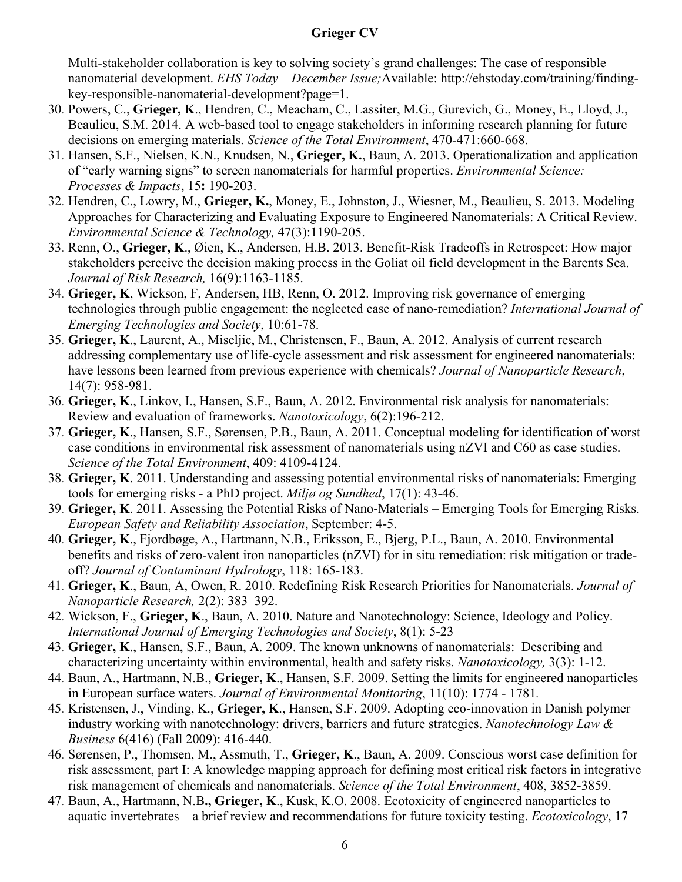Multi-stakeholder collaboration is key to solving society's grand challenges: The case of responsible nanomaterial development. *EHS Today* – *December Issue;*Available: http://ehstoday.com/training/findingkey-responsible-nanomaterial-development?page=1.

- 30. Powers, C., **Grieger, K**., Hendren, C., Meacham, C., Lassiter, M.G., Gurevich, G., Money, E., Lloyd, J., Beaulieu, S.M. 2014. A web-based tool to engage stakeholders in informing research planning for future decisions on emerging materials. *Science of the Total Environment*, 470-471:660-668.
- 31. Hansen, S.F., Nielsen, K.N., Knudsen, N., **Grieger, K.**, Baun, A. 2013. Operationalization and application of "early warning signs" to screen nanomaterials for harmful properties. *Environmental Science: Processes & Impacts*, 15**:** 190-203.
- 32. Hendren, C., Lowry, M., **Grieger, K.**, Money, E., Johnston, J., Wiesner, M., Beaulieu, S. 2013. Modeling Approaches for Characterizing and Evaluating Exposure to Engineered Nanomaterials: A Critical Review. *Environmental Science & Technology,* 47(3):1190-205.
- 33. Renn, O., **Grieger, K**., Øien, K., Andersen, H.B. 2013. Benefit-Risk Tradeoffs in Retrospect: How major stakeholders perceive the decision making process in the Goliat oil field development in the Barents Sea. *Journal of Risk Research,* 16(9):1163-1185.
- 34. **Grieger, K**, Wickson, F, Andersen, HB, Renn, O. 2012. Improving risk governance of emerging technologies through public engagement: the neglected case of nano-remediation? *International Journal of Emerging Technologies and Society*, 10:61-78.
- 35. **Grieger, K**., Laurent, A., Miseljic, M., Christensen, F., Baun, A. 2012. Analysis of current research addressing complementary use of life-cycle assessment and risk assessment for engineered nanomaterials: have lessons been learned from previous experience with chemicals? *Journal of Nanoparticle Research*, 14(7): 958-981.
- 36. **Grieger, K**., Linkov, I., Hansen, S.F., Baun, A. 2012. Environmental risk analysis for nanomaterials: Review and evaluation of frameworks. *Nanotoxicology*, 6(2):196-212.
- 37. **Grieger, K**., Hansen, S.F., Sørensen, P.B., Baun, A. 2011. Conceptual modeling for identification of worst case conditions in environmental risk assessment of nanomaterials using nZVI and C60 as case studies. *Science of the Total Environment*, 409: 4109-4124.
- 38. **Grieger, K**. 2011. Understanding and assessing potential environmental risks of nanomaterials: Emerging tools for emerging risks - a PhD project. *Miljø og Sundhed*, 17(1): 43-46.
- 39. **Grieger, K**. 2011. Assessing the Potential Risks of Nano-Materials Emerging Tools for Emerging Risks. *European Safety and Reliability Association*, September: 4-5.
- 40. **Grieger, K**., Fjordbøge, A., Hartmann, N.B., Eriksson, E., Bjerg, P.L., Baun, A. 2010. Environmental benefits and risks of zero-valent iron nanoparticles (nZVI) for in situ remediation: risk mitigation or tradeoff? *Journal of Contaminant Hydrology*, 118: 165-183.
- 41. **Grieger, K**., Baun, A, Owen, R. 2010. Redefining Risk Research Priorities for Nanomaterials. *Journal of Nanoparticle Research,* 2(2): 383–392.
- 42. Wickson, F., **Grieger, K**., Baun, A. 2010. Nature and Nanotechnology: Science, Ideology and Policy. *International Journal of Emerging Technologies and Society*, 8(1): 5-23
- 43. **Grieger, K**., Hansen, S.F., Baun, A. 2009. The known unknowns of nanomaterials: Describing and characterizing uncertainty within environmental, health and safety risks. *Nanotoxicology,* 3(3): 1-12.
- 44. Baun, A., Hartmann, N.B., **Grieger, K**., Hansen, S.F. 2009. Setting the limits for engineered nanoparticles in European surface waters. *Journal of Environmental Monitoring*, 11(10): 1774 - 1781*.*
- 45. Kristensen, J., Vinding, K., **Grieger, K**., Hansen, S.F. 2009. Adopting eco-innovation in Danish polymer industry working with nanotechnology: drivers, barriers and future strategies. *Nanotechnology Law & Business* 6(416) (Fall 2009): 416-440.
- 46. Sørensen, P., Thomsen, M., Assmuth, T., **Grieger, K**., Baun, A. 2009. Conscious worst case definition for risk assessment, part I: A knowledge mapping approach for defining most critical risk factors in integrative risk management of chemicals and nanomaterials. *Science of the Total Environment*, 408, 3852-3859.
- 47. Baun, A., Hartmann, N.B**., Grieger, K**., Kusk, K.O. 2008. Ecotoxicity of engineered nanoparticles to aquatic invertebrates – a brief review and recommendations for future toxicity testing. *Ecotoxicology*, 17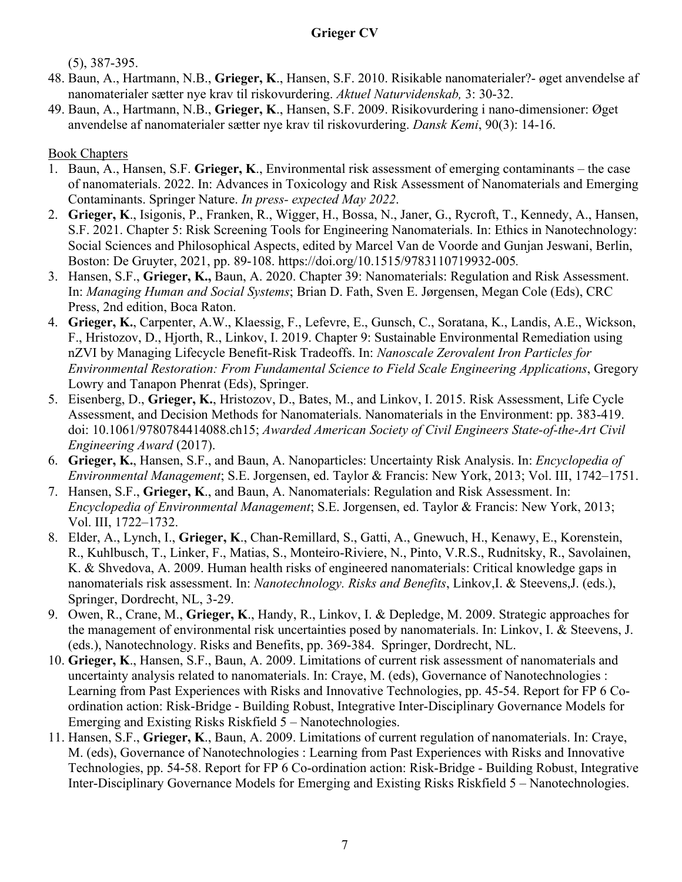(5), 387-395.

- 48. Baun, A., Hartmann, N.B., **Grieger, K**., Hansen, S.F. 2010. Risikable nanomaterialer?- øget anvendelse af nanomaterialer sætter nye krav til riskovurdering. *Aktuel Naturvidenskab,* 3: 30-32.
- 49. Baun, A., Hartmann, N.B., **Grieger, K**., Hansen, S.F. 2009. Risikovurdering i nano-dimensioner: Øget anvendelse af nanomaterialer sætter nye krav til riskovurdering. *Dansk Kemi*, 90(3): 14-16.

#### Book Chapters

- 1. Baun, A., Hansen, S.F. **Grieger, K**., Environmental risk assessment of emerging contaminants the case of nanomaterials. 2022. In: Advances in Toxicology and Risk Assessment of Nanomaterials and Emerging Contaminants. Springer Nature. *In press- expected May 2022*.
- 2. **Grieger, K**., Isigonis, P., Franken, R., Wigger, H., Bossa, N., Janer, G., Rycroft, T., Kennedy, A., Hansen, S.F. 2021. Chapter 5: Risk Screening Tools for Engineering Nanomaterials. In: Ethics in Nanotechnology: Social Sciences and Philosophical Aspects, edited by Marcel Van de Voorde and Gunjan Jeswani, Berlin, Boston: De Gruyter, 2021, pp. 89-108. https://doi.org/10.1515/9783110719932-005*.*
- 3. Hansen, S.F., **Grieger, K.,** Baun, A. 2020. Chapter 39: Nanomaterials: Regulation and Risk Assessment. In: *Managing Human and Social Systems*; Brian D. Fath, Sven E. Jørgensen, Megan Cole (Eds), CRC Press, 2nd edition, Boca Raton.
- 4. **Grieger, K.**, Carpenter, A.W., Klaessig, F., Lefevre, E., Gunsch, C., Soratana, K., Landis, A.E., Wickson, F., Hristozov, D., Hjorth, R., Linkov, I. 2019. Chapter 9: Sustainable Environmental Remediation using nZVI by Managing Lifecycle Benefit-Risk Tradeoffs. In: *Nanoscale Zerovalent Iron Particles for Environmental Restoration: From Fundamental Science to Field Scale Engineering Applications*, Gregory Lowry and Tanapon Phenrat (Eds), Springer.
- 5. Eisenberg, D., **Grieger, K.**, Hristozov, D., Bates, M., and Linkov, I. 2015. Risk Assessment, Life Cycle Assessment, and Decision Methods for Nanomaterials. Nanomaterials in the Environment: pp. 383-419. doi: 10.1061/9780784414088.ch15; *Awarded American Society of Civil Engineers State-of-the-Art Civil Engineering Award* (2017).
- 6. **Grieger, K.**, Hansen, S.F., and Baun, A. Nanoparticles: Uncertainty Risk Analysis. In: *Encyclopedia of Environmental Management*; S.E. Jorgensen, ed. Taylor & Francis: New York, 2013; Vol. III, 1742–1751.
- 7. Hansen, S.F., **Grieger, K**., and Baun, A. Nanomaterials: Regulation and Risk Assessment. In: *Encyclopedia of Environmental Management*; S.E. Jorgensen, ed. Taylor & Francis: New York, 2013; Vol. III, 1722–1732.
- 8. Elder, A., Lynch, I., **Grieger, K**., Chan-Remillard, S., Gatti, A., Gnewuch, H., Kenawy, E., Korenstein, R., Kuhlbusch, T., Linker, F., Matias, S., Monteiro-Riviere, N., Pinto, V.R.S., Rudnitsky, R., Savolainen, K. & Shvedova, A. 2009. Human health risks of engineered nanomaterials: Critical knowledge gaps in nanomaterials risk assessment. In: *Nanotechnology. Risks and Benefits*, Linkov,I. & Steevens,J. (eds.), Springer, Dordrecht, NL, 3-29.
- 9. Owen, R., Crane, M., **Grieger, K**., Handy, R., Linkov, I. & Depledge, M. 2009. Strategic approaches for the management of environmental risk uncertainties posed by nanomaterials. In: Linkov, I. & Steevens, J. (eds.), Nanotechnology. Risks and Benefits, pp. 369-384. Springer, Dordrecht, NL.
- 10. **Grieger, K**., Hansen, S.F., Baun, A. 2009. Limitations of current risk assessment of nanomaterials and uncertainty analysis related to nanomaterials. In: Craye, M. (eds), Governance of Nanotechnologies : Learning from Past Experiences with Risks and Innovative Technologies, pp. 45-54. Report for FP 6 Coordination action: Risk-Bridge - Building Robust, Integrative Inter-Disciplinary Governance Models for Emerging and Existing Risks Riskfield 5 – Nanotechnologies.
- 11. Hansen, S.F., **Grieger, K**., Baun, A. 2009. Limitations of current regulation of nanomaterials. In: Craye, M. (eds), Governance of Nanotechnologies : Learning from Past Experiences with Risks and Innovative Technologies, pp. 54-58. Report for FP 6 Co-ordination action: Risk-Bridge - Building Robust, Integrative Inter-Disciplinary Governance Models for Emerging and Existing Risks Riskfield 5 – Nanotechnologies.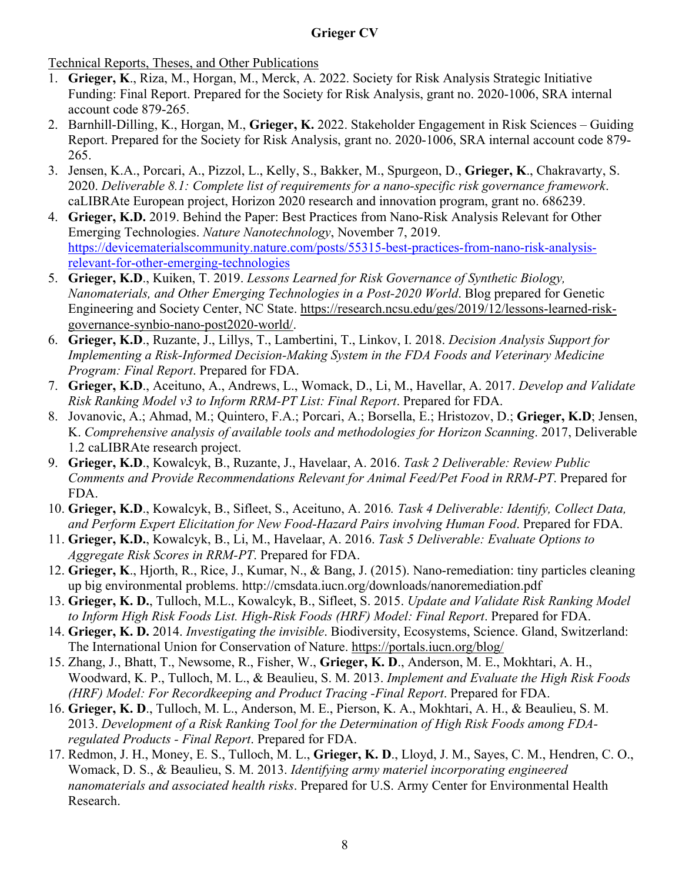Technical Reports, Theses, and Other Publications

- 1. **Grieger, K**., Riza, M., Horgan, M., Merck, A. 2022. Society for Risk Analysis Strategic Initiative Funding: Final Report. Prepared for the Society for Risk Analysis, grant no. 2020-1006, SRA internal account code 879-265.
- 2. Barnhill-Dilling, K., Horgan, M., **Grieger, K.** 2022. Stakeholder Engagement in Risk Sciences Guiding Report. Prepared for the Society for Risk Analysis, grant no. 2020-1006, SRA internal account code 879- 265.
- 3. Jensen, K.A., Porcari, A., Pizzol, L., Kelly, S., Bakker, M., Spurgeon, D., **Grieger, K**., Chakravarty, S. 2020. *Deliverable 8.1: Complete list of requirements for a nano-specific risk governance framework*. caLIBRAte European project, Horizon 2020 research and innovation program, grant no. 686239.
- 4. **Grieger, K.D.** 2019. Behind the Paper: Best Practices from Nano-Risk Analysis Relevant for Other Emerging Technologies. *Nature Nanotechnology*, November 7, 2019. [https://devicematerialscommunity.nature.com/posts/55315-best-practices-from-nano-risk-analysis](https://devicematerialscommunity.nature.com/posts/55315-best-practices-from-nano-risk-analysis-relevant-for-other-emerging-technologies)[relevant-for-other-emerging-technologies](https://devicematerialscommunity.nature.com/posts/55315-best-practices-from-nano-risk-analysis-relevant-for-other-emerging-technologies)
- 5. **Grieger, K.D**., Kuiken, T. 2019. *Lessons Learned for Risk Governance of Synthetic Biology, Nanomaterials, and Other Emerging Technologies in a Post-2020 World*. Blog prepared for Genetic Engineering and Society Center, NC State. [https://research.ncsu.edu/ges/2019/12/lessons-learned-risk](https://research.ncsu.edu/ges/2019/12/lessons-learned-risk-governance-synbio-nano-post2020-world/)[governance-synbio-nano-post2020-world/.](https://research.ncsu.edu/ges/2019/12/lessons-learned-risk-governance-synbio-nano-post2020-world/)
- 6. **Grieger, K.D**., Ruzante, J., Lillys, T., Lambertini, T., Linkov, I. 2018. *Decision Analysis Support for Implementing a Risk-Informed Decision-Making System in the FDA Foods and Veterinary Medicine Program: Final Report*. Prepared for FDA.
- 7. **Grieger, K.D**., Aceituno, A., Andrews, L., Womack, D., Li, M., Havellar, A. 2017. *Develop and Validate Risk Ranking Model v3 to Inform RRM-PT List: Final Report*. Prepared for FDA.
- 8. Jovanovic, A.; Ahmad, M.; Quintero, F.A.; Porcari, A.; Borsella, E.; Hristozov, D.; **Grieger, K.D**; Jensen, K. *Comprehensive analysis of available tools and methodologies for Horizon Scanning*. 2017, Deliverable 1.2 caLIBRAte research project.
- 9. **Grieger, K.D**., Kowalcyk, B., Ruzante, J., Havelaar, A. 2016. *Task 2 Deliverable: Review Public Comments and Provide Recommendations Relevant for Animal Feed/Pet Food in RRM-PT*. Prepared for FDA.
- 10. **Grieger, K.D**., Kowalcyk, B., Sifleet, S., Aceituno, A. 2016*. Task 4 Deliverable: Identify, Collect Data, and Perform Expert Elicitation for New Food-Hazard Pairs involving Human Food*. Prepared for FDA.
- 11. **Grieger, K.D.**, Kowalcyk, B., Li, M., Havelaar, A. 2016. *Task 5 Deliverable: Evaluate Options to Aggregate Risk Scores in RRM-PT*. Prepared for FDA.
- 12. **Grieger, K**., Hjorth, R., Rice, J., Kumar, N., & Bang, J. (2015). Nano-remediation: tiny particles cleaning up big environmental problems. http://cmsdata.iucn.org/downloads/nanoremediation.pdf
- 13. **Grieger, K. D.**, Tulloch, M.L., Kowalcyk, B., Sifleet, S. 2015. *Update and Validate Risk Ranking Model to Inform High Risk Foods List. High-Risk Foods (HRF) Model: Final Report*. Prepared for FDA.
- 14. **Grieger, K. D.** 2014. *Investigating the invisible*. Biodiversity, Ecosystems, Science. Gland, Switzerland: The International Union for Conservation of Nature.<https://portals.iucn.org/blog/>
- 15. Zhang, J., Bhatt, T., Newsome, R., Fisher, W., **Grieger, K. D**., Anderson, M. E., Mokhtari, A. H., Woodward, K. P., Tulloch, M. L., & Beaulieu, S. M. 2013. *Implement and Evaluate the High Risk Foods (HRF) Model: For Recordkeeping and Product Tracing -Final Report*. Prepared for FDA.
- 16. **Grieger, K. D**., Tulloch, M. L., Anderson, M. E., Pierson, K. A., Mokhtari, A. H., & Beaulieu, S. M. 2013. *Development of a Risk Ranking Tool for the Determination of High Risk Foods among FDAregulated Products - Final Report*. Prepared for FDA.
- 17. Redmon, J. H., Money, E. S., Tulloch, M. L., **Grieger, K. D**., Lloyd, J. M., Sayes, C. M., Hendren, C. O., Womack, D. S., & Beaulieu, S. M. 2013. *Identifying army materiel incorporating engineered nanomaterials and associated health risks*. Prepared for U.S. Army Center for Environmental Health Research.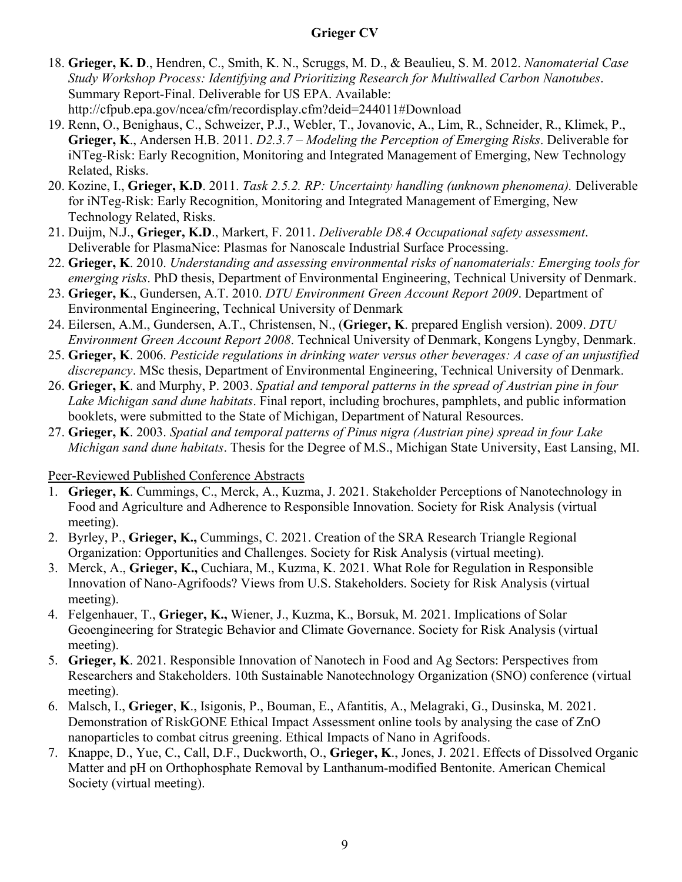- 18. **Grieger, K. D**., Hendren, C., Smith, K. N., Scruggs, M. D., & Beaulieu, S. M. 2012. *Nanomaterial Case Study Workshop Process: Identifying and Prioritizing Research for Multiwalled Carbon Nanotubes*. Summary Report-Final. Deliverable for US EPA. Available: http://cfpub.epa.gov/ncea/cfm/recordisplay.cfm?deid=244011#Download
- 19. Renn, O., Benighaus, C., Schweizer, P.J., Webler, T., Jovanovic, A., Lim, R., Schneider, R., Klimek, P., **Grieger, K**., Andersen H.B. 2011. *D2.3.7 – Modeling the Perception of Emerging Risks*. Deliverable for iNTeg-Risk: Early Recognition, Monitoring and Integrated Management of Emerging, New Technology Related, Risks.
- 20. Kozine, I., **Grieger, K.D**. 2011. *Task 2.5.2. RP: Uncertainty handling (unknown phenomena).* Deliverable for iNTeg-Risk: Early Recognition, Monitoring and Integrated Management of Emerging, New Technology Related, Risks.
- 21. Duijm, N.J., **Grieger, K.D**., Markert, F. 2011. *Deliverable D8.4 Occupational safety assessment*. Deliverable for PlasmaNice: Plasmas for Nanoscale Industrial Surface Processing.
- 22. **Grieger, K**. 2010. *Understanding and assessing environmental risks of nanomaterials: Emerging tools for emerging risks*. PhD thesis, Department of Environmental Engineering, Technical University of Denmark.
- 23. **Grieger, K**., Gundersen, A.T. 2010. *DTU Environment Green Account Report 2009*. Department of Environmental Engineering, Technical University of Denmark
- 24. Eilersen, A.M., Gundersen, A.T., Christensen, N., (**Grieger, K**. prepared English version). 2009. *DTU Environment Green Account Report 2008*. Technical University of Denmark, Kongens Lyngby, Denmark.
- 25. **Grieger, K**. 2006. *Pesticide regulations in drinking water versus other beverages: A case of an unjustified discrepancy*. MSc thesis, Department of Environmental Engineering, Technical University of Denmark.
- 26. **Grieger, K**. and Murphy, P. 2003. *Spatial and temporal patterns in the spread of Austrian pine in four Lake Michigan sand dune habitats*. Final report, including brochures, pamphlets, and public information booklets, were submitted to the State of Michigan, Department of Natural Resources.
- 27. **Grieger, K**. 2003. *Spatial and temporal patterns of Pinus nigra (Austrian pine) spread in four Lake Michigan sand dune habitats*. Thesis for the Degree of M.S., Michigan State University, East Lansing, MI.

#### Peer-Reviewed Published Conference Abstracts

- 1. **Grieger, K**. Cummings, C., Merck, A., Kuzma, J. 2021. Stakeholder Perceptions of Nanotechnology in Food and Agriculture and Adherence to Responsible Innovation. Society for Risk Analysis (virtual meeting).
- 2. Byrley, P., **Grieger, K.,** Cummings, C. 2021. Creation of the SRA Research Triangle Regional Organization: Opportunities and Challenges. Society for Risk Analysis (virtual meeting).
- 3. Merck, A., **Grieger, K.,** Cuchiara, M., Kuzma, K. 2021. What Role for Regulation in Responsible Innovation of Nano-Agrifoods? Views from U.S. Stakeholders. Society for Risk Analysis (virtual meeting).
- 4. Felgenhauer, T., **Grieger, K.,** Wiener, J., Kuzma, K., Borsuk, M. 2021. Implications of Solar Geoengineering for Strategic Behavior and Climate Governance. Society for Risk Analysis (virtual meeting).
- 5. **Grieger, K**. 2021. Responsible Innovation of Nanotech in Food and Ag Sectors: Perspectives from Researchers and Stakeholders. 10th Sustainable Nanotechnology Organization (SNO) conference (virtual meeting).
- 6. Malsch, I., **Grieger**, **K**., Isigonis, P., Bouman, E., Afantitis, A., Melagraki, G., Dusinska, M. 2021. Demonstration of RiskGONE Ethical Impact Assessment online tools by analysing the case of ZnO nanoparticles to combat citrus greening. Ethical Impacts of Nano in Agrifoods.
- 7. Knappe, D., Yue, C., Call, D.F., Duckworth, O., **Grieger, K**., Jones, J. 2021. Effects of Dissolved Organic Matter and pH on Orthophosphate Removal by Lanthanum-modified Bentonite. American Chemical Society (virtual meeting).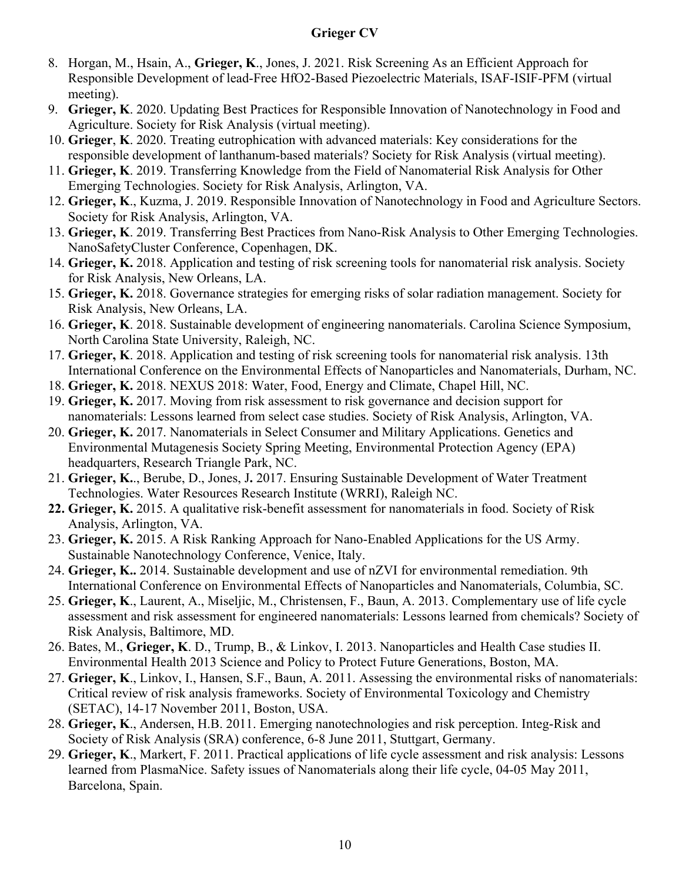- 8. Horgan, M., Hsain, A., **Grieger, K**., Jones, J. 2021. Risk Screening As an Efficient Approach for Responsible Development of lead-Free HfO2-Based Piezoelectric Materials, ISAF-ISIF-PFM (virtual meeting).
- 9. **Grieger, K**. 2020. Updating Best Practices for Responsible Innovation of Nanotechnology in Food and Agriculture. Society for Risk Analysis (virtual meeting).
- 10. **Grieger**, **K**. 2020. Treating eutrophication with advanced materials: Key considerations for the responsible development of lanthanum-based materials? Society for Risk Analysis (virtual meeting).
- 11. **Grieger, K**. 2019. Transferring Knowledge from the Field of Nanomaterial Risk Analysis for Other Emerging Technologies. Society for Risk Analysis, Arlington, VA.
- 12. **Grieger, K**., Kuzma, J. 2019. Responsible Innovation of Nanotechnology in Food and Agriculture Sectors. Society for Risk Analysis, Arlington, VA.
- 13. **Grieger, K**. 2019. Transferring Best Practices from Nano-Risk Analysis to Other Emerging Technologies. NanoSafetyCluster Conference, Copenhagen, DK.
- 14. **Grieger, K.** 2018. Application and testing of risk screening tools for nanomaterial risk analysis. Society for Risk Analysis, New Orleans, LA.
- 15. **Grieger, K.** 2018. Governance strategies for emerging risks of solar radiation management. Society for Risk Analysis, New Orleans, LA.
- 16. **Grieger, K**. 2018. Sustainable development of engineering nanomaterials. Carolina Science Symposium, North Carolina State University, Raleigh, NC.
- 17. **Grieger, K**. 2018. Application and testing of risk screening tools for nanomaterial risk analysis. 13th International Conference on the Environmental Effects of Nanoparticles and Nanomaterials, Durham, NC.
- 18. **Grieger, K.** 2018. NEXUS 2018: Water, Food, Energy and Climate, Chapel Hill, NC.
- 19. **Grieger, K.** 2017. Moving from risk assessment to risk governance and decision support for nanomaterials: Lessons learned from select case studies. Society of Risk Analysis, Arlington, VA.
- 20. **Grieger, K.** 2017. Nanomaterials in Select Consumer and Military Applications. Genetics and Environmental Mutagenesis Society Spring Meeting, Environmental Protection Agency (EPA) headquarters, Research Triangle Park, NC.
- 21. **Grieger, K.**., Berube, D., Jones, J**.** 2017. Ensuring Sustainable Development of Water Treatment Technologies. Water Resources Research Institute (WRRI), Raleigh NC.
- **22. Grieger, K.** 2015. A qualitative risk-benefit assessment for nanomaterials in food. Society of Risk Analysis, Arlington, VA.
- 23. **Grieger, K.** 2015. A Risk Ranking Approach for Nano-Enabled Applications for the US Army. Sustainable Nanotechnology Conference, Venice, Italy.
- 24. **Grieger, K..** 2014. Sustainable development and use of nZVI for environmental remediation. 9th International Conference on Environmental Effects of Nanoparticles and Nanomaterials, Columbia, SC.
- 25. **Grieger, K**., Laurent, A., Miseljic, M., Christensen, F., Baun, A. 2013. Complementary use of life cycle assessment and risk assessment for engineered nanomaterials: Lessons learned from chemicals? Society of Risk Analysis, Baltimore, MD.
- 26. Bates, M., **Grieger, K**. D., Trump, B., & Linkov, I. 2013. Nanoparticles and Health Case studies II. Environmental Health 2013 Science and Policy to Protect Future Generations, Boston, MA.
- 27. **Grieger, K**., Linkov, I., Hansen, S.F., Baun, A. 2011. Assessing the environmental risks of nanomaterials: Critical review of risk analysis frameworks. Society of Environmental Toxicology and Chemistry (SETAC), 14-17 November 2011, Boston, USA.
- 28. **Grieger, K**., Andersen, H.B. 2011. Emerging nanotechnologies and risk perception. Integ-Risk and Society of Risk Analysis (SRA) conference, 6-8 June 2011, Stuttgart, Germany.
- 29. **Grieger, K**., Markert, F. 2011. Practical applications of life cycle assessment and risk analysis: Lessons learned from PlasmaNice. Safety issues of Nanomaterials along their life cycle, 04-05 May 2011, Barcelona, Spain.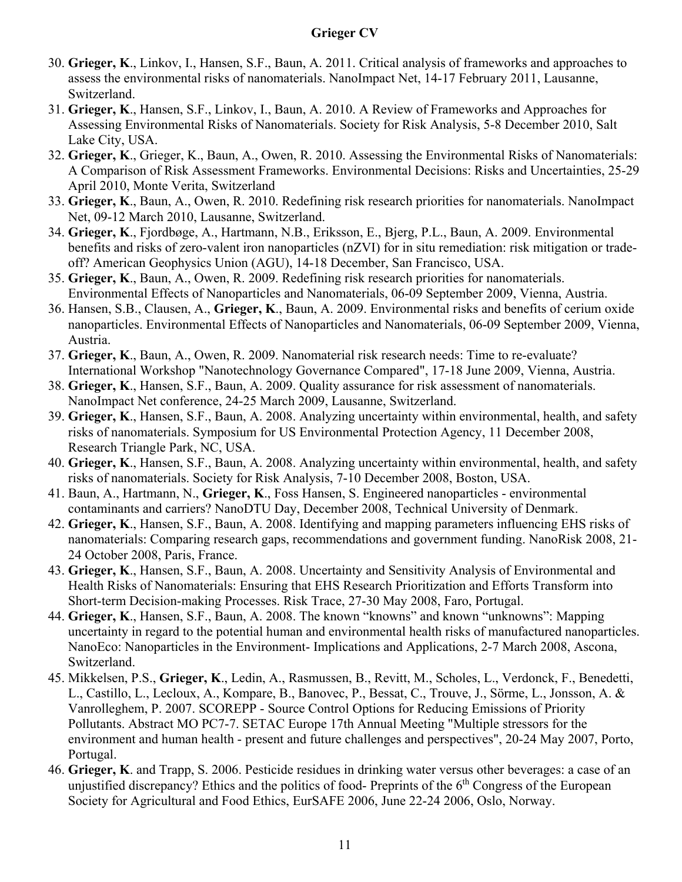- 30. **Grieger, K**., Linkov, I., Hansen, S.F., Baun, A. 2011. Critical analysis of frameworks and approaches to assess the environmental risks of nanomaterials. NanoImpact Net, 14-17 February 2011, Lausanne, Switzerland.
- 31. **Grieger, K**., Hansen, S.F., Linkov, I., Baun, A. 2010. A Review of Frameworks and Approaches for Assessing Environmental Risks of Nanomaterials. Society for Risk Analysis, 5-8 December 2010, Salt Lake City, USA.
- 32. **Grieger, K**., Grieger, K., Baun, A., Owen, R. 2010. Assessing the Environmental Risks of Nanomaterials: A Comparison of Risk Assessment Frameworks. Environmental Decisions: Risks and Uncertainties, 25-29 April 2010, Monte Verita, Switzerland
- 33. **Grieger, K**., Baun, A., Owen, R. 2010. Redefining risk research priorities for nanomaterials. NanoImpact Net, 09-12 March 2010, Lausanne, Switzerland.
- 34. **Grieger, K**., Fjordbøge, A., Hartmann, N.B., Eriksson, E., Bjerg, P.L., Baun, A. 2009. Environmental benefits and risks of zero-valent iron nanoparticles (nZVI) for in situ remediation: risk mitigation or tradeoff? American Geophysics Union (AGU), 14-18 December, San Francisco, USA.
- 35. **Grieger, K**., Baun, A., Owen, R. 2009. Redefining risk research priorities for nanomaterials. Environmental Effects of Nanoparticles and Nanomaterials, 06-09 September 2009, Vienna, Austria.
- 36. Hansen, S.B., Clausen, A., **Grieger, K**., Baun, A. 2009. Environmental risks and benefits of cerium oxide nanoparticles. Environmental Effects of Nanoparticles and Nanomaterials, 06-09 September 2009, Vienna, Austria.
- 37. **Grieger, K**., Baun, A., Owen, R. 2009. Nanomaterial risk research needs: Time to re-evaluate? International Workshop "Nanotechnology Governance Compared", 17-18 June 2009, Vienna, Austria.
- 38. **Grieger, K**., Hansen, S.F., Baun, A. 2009. Quality assurance for risk assessment of nanomaterials. NanoImpact Net conference, 24-25 March 2009, Lausanne, Switzerland.
- 39. **Grieger, K**., Hansen, S.F., Baun, A. 2008. Analyzing uncertainty within environmental, health, and safety risks of nanomaterials. Symposium for US Environmental Protection Agency, 11 December 2008, Research Triangle Park, NC, USA.
- 40. **Grieger, K**., Hansen, S.F., Baun, A. 2008. Analyzing uncertainty within environmental, health, and safety risks of nanomaterials. Society for Risk Analysis, 7-10 December 2008, Boston, USA.
- 41. Baun, A., Hartmann, N., **Grieger, K**., Foss Hansen, S. Engineered nanoparticles environmental contaminants and carriers? NanoDTU Day, December 2008, Technical University of Denmark.
- 42. **Grieger, K**., Hansen, S.F., Baun, A. 2008. Identifying and mapping parameters influencing EHS risks of nanomaterials: Comparing research gaps, recommendations and government funding. NanoRisk 2008, 21- 24 October 2008, Paris, France.
- 43. **Grieger, K**., Hansen, S.F., Baun, A. 2008. Uncertainty and Sensitivity Analysis of Environmental and Health Risks of Nanomaterials: Ensuring that EHS Research Prioritization and Efforts Transform into Short-term Decision-making Processes. Risk Trace, 27-30 May 2008, Faro, Portugal.
- 44. **Grieger, K**., Hansen, S.F., Baun, A. 2008. The known "knowns" and known "unknowns": Mapping uncertainty in regard to the potential human and environmental health risks of manufactured nanoparticles. NanoEco: Nanoparticles in the Environment- Implications and Applications, 2-7 March 2008, Ascona, Switzerland.
- 45. Mikkelsen, P.S., **Grieger, K**., Ledin, A., Rasmussen, B., Revitt, M., Scholes, L., Verdonck, F., Benedetti, L., Castillo, L., Lecloux, A., Kompare, B., Banovec, P., Bessat, C., Trouve, J., Sörme, L., Jonsson, A. & Vanrolleghem, P. 2007. SCOREPP - Source Control Options for Reducing Emissions of Priority Pollutants. Abstract MO PC7-7. SETAC Europe 17th Annual Meeting "Multiple stressors for the environment and human health - present and future challenges and perspectives", 20-24 May 2007, Porto, Portugal.
- 46. **Grieger, K**. and Trapp, S. 2006. Pesticide residues in drinking water versus other beverages: a case of an unjustified discrepancy? Ethics and the politics of food-Preprints of the 6<sup>th</sup> Congress of the European Society for Agricultural and Food Ethics, EurSAFE 2006, June 22-24 2006, Oslo, Norway.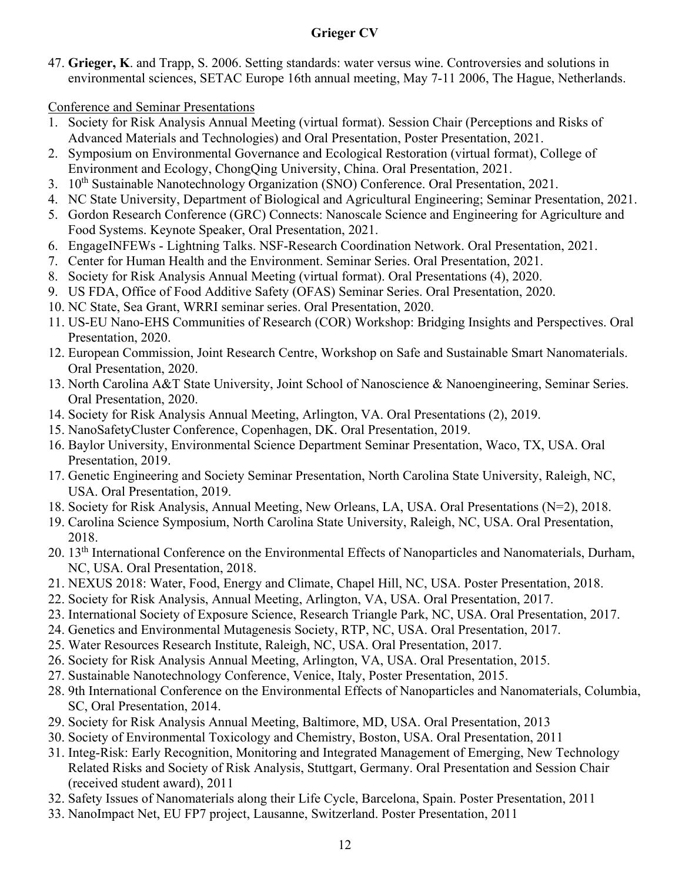47. **Grieger, K**. and Trapp, S. 2006. Setting standards: water versus wine. Controversies and solutions in environmental sciences, SETAC Europe 16th annual meeting, May 7-11 2006, The Hague, Netherlands.

Conference and Seminar Presentations

- 1. Society for Risk Analysis Annual Meeting (virtual format). Session Chair (Perceptions and Risks of Advanced Materials and Technologies) and Oral Presentation, Poster Presentation, 2021.
- 2. Symposium on Environmental Governance and Ecological Restoration (virtual format), College of Environment and Ecology, ChongQing University, China. Oral Presentation, 2021.
- 3. 10<sup>th</sup> Sustainable Nanotechnology Organization (SNO) Conference. Oral Presentation, 2021.
- 4. NC State University, Department of Biological and Agricultural Engineering; Seminar Presentation, 2021.
- 5. Gordon Research Conference (GRC) Connects: Nanoscale Science and Engineering for Agriculture and Food Systems. Keynote Speaker, Oral Presentation, 2021.
- 6. EngageINFEWs Lightning Talks. NSF-Research Coordination Network. Oral Presentation, 2021.
- 7. Center for Human Health and the Environment. Seminar Series. Oral Presentation, 2021.
- 8. Society for Risk Analysis Annual Meeting (virtual format). Oral Presentations (4), 2020.
- 9. US FDA, Office of Food Additive Safety (OFAS) Seminar Series. Oral Presentation, 2020.
- 10. NC State, Sea Grant, WRRI seminar series. Oral Presentation, 2020.
- 11. US-EU Nano-EHS Communities of Research (COR) Workshop: Bridging Insights and Perspectives. Oral Presentation, 2020.
- 12. European Commission, Joint Research Centre, Workshop on Safe and Sustainable Smart Nanomaterials. Oral Presentation, 2020.
- 13. North Carolina A&T State University, Joint School of Nanoscience & Nanoengineering, Seminar Series. Oral Presentation, 2020.
- 14. Society for Risk Analysis Annual Meeting, Arlington, VA. Oral Presentations (2), 2019.
- 15. NanoSafetyCluster Conference, Copenhagen, DK. Oral Presentation, 2019.
- 16. Baylor University, Environmental Science Department Seminar Presentation, Waco, TX, USA. Oral Presentation, 2019.
- 17. Genetic Engineering and Society Seminar Presentation, North Carolina State University, Raleigh, NC, USA. Oral Presentation, 2019.
- 18. Society for Risk Analysis, Annual Meeting, New Orleans, LA, USA. Oral Presentations (N=2), 2018.
- 19. Carolina Science Symposium, North Carolina State University, Raleigh, NC, USA. Oral Presentation, 2018.
- 20. 13<sup>th</sup> International Conference on the Environmental Effects of Nanoparticles and Nanomaterials, Durham, NC, USA. Oral Presentation, 2018.
- 21. NEXUS 2018: Water, Food, Energy and Climate, Chapel Hill, NC, USA. Poster Presentation, 2018.
- 22. Society for Risk Analysis, Annual Meeting, Arlington, VA, USA. Oral Presentation, 2017.
- 23. International Society of Exposure Science, Research Triangle Park, NC, USA. Oral Presentation, 2017.
- 24. Genetics and Environmental Mutagenesis Society, RTP, NC, USA. Oral Presentation, 2017.
- 25. Water Resources Research Institute, Raleigh, NC, USA. Oral Presentation, 2017.
- 26. Society for Risk Analysis Annual Meeting, Arlington, VA, USA. Oral Presentation, 2015.
- 27. Sustainable Nanotechnology Conference, Venice, Italy, Poster Presentation, 2015.
- 28. 9th International Conference on the Environmental Effects of Nanoparticles and Nanomaterials, Columbia, SC, Oral Presentation, 2014.
- 29. Society for Risk Analysis Annual Meeting, Baltimore, MD, USA. Oral Presentation, 2013
- 30. Society of Environmental Toxicology and Chemistry, Boston, USA. Oral Presentation, 2011
- 31. Integ-Risk: Early Recognition, Monitoring and Integrated Management of Emerging, New Technology Related Risks and Society of Risk Analysis, Stuttgart, Germany. Oral Presentation and Session Chair (received student award), 2011
- 32. Safety Issues of Nanomaterials along their Life Cycle, Barcelona, Spain. Poster Presentation, 2011
- 33. NanoImpact Net, EU FP7 project, Lausanne, Switzerland. Poster Presentation, 2011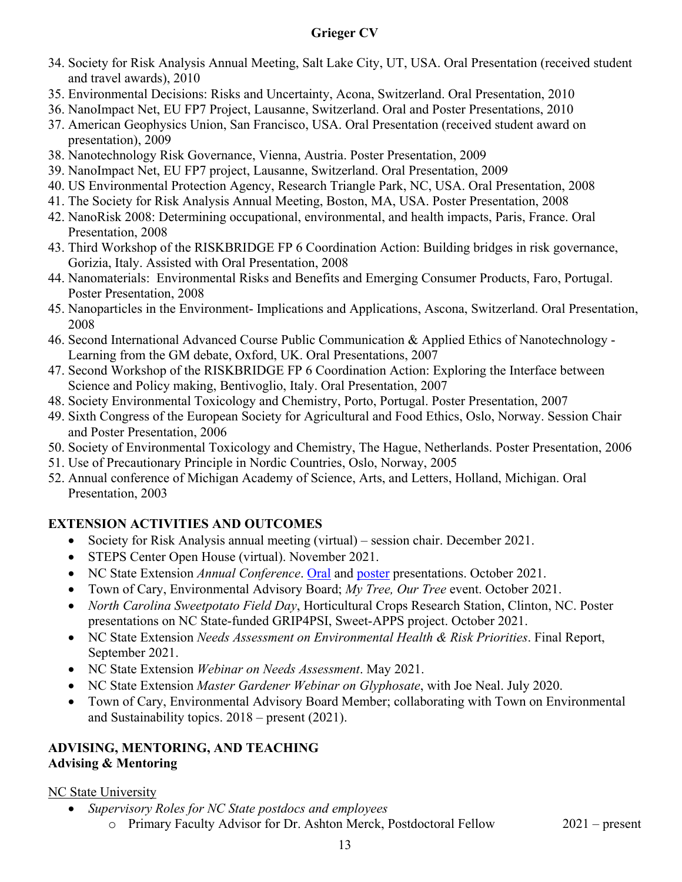- 34. Society for Risk Analysis Annual Meeting, Salt Lake City, UT, USA. Oral Presentation (received student and travel awards), 2010
- 35. Environmental Decisions: Risks and Uncertainty, Acona, Switzerland. Oral Presentation, 2010
- 36. NanoImpact Net, EU FP7 Project, Lausanne, Switzerland. Oral and Poster Presentations, 2010
- 37. American Geophysics Union, San Francisco, USA. Oral Presentation (received student award on presentation), 2009
- 38. Nanotechnology Risk Governance, Vienna, Austria. Poster Presentation, 2009
- 39. NanoImpact Net, EU FP7 project, Lausanne, Switzerland. Oral Presentation, 2009
- 40. US Environmental Protection Agency, Research Triangle Park, NC, USA. Oral Presentation, 2008
- 41. The Society for Risk Analysis Annual Meeting, Boston, MA, USA. Poster Presentation, 2008
- 42. NanoRisk 2008: Determining occupational, environmental, and health impacts, Paris, France. Oral Presentation, 2008
- 43. Third Workshop of the RISKBRIDGE FP 6 Coordination Action: Building bridges in risk governance, Gorizia, Italy. Assisted with Oral Presentation, 2008
- 44. Nanomaterials: Environmental Risks and Benefits and Emerging Consumer Products, Faro, Portugal. Poster Presentation, 2008
- 45. Nanoparticles in the Environment- Implications and Applications, Ascona, Switzerland. Oral Presentation, 2008
- 46. Second International Advanced Course Public Communication & Applied Ethics of Nanotechnology Learning from the GM debate, Oxford, UK. Oral Presentations, 2007
- 47. Second Workshop of the RISKBRIDGE FP 6 Coordination Action: Exploring the Interface between Science and Policy making, Bentivoglio, Italy. Oral Presentation, 2007
- 48. Society Environmental Toxicology and Chemistry, Porto, Portugal. Poster Presentation, 2007
- 49. Sixth Congress of the European Society for Agricultural and Food Ethics, Oslo, Norway. Session Chair and Poster Presentation, 2006
- 50. Society of Environmental Toxicology and Chemistry, The Hague, Netherlands. Poster Presentation, 2006
- 51. Use of Precautionary Principle in Nordic Countries, Oslo, Norway, 2005
- 52. Annual conference of Michigan Academy of Science, Arts, and Letters, Holland, Michigan. Oral Presentation, 2003

## **EXTENSION ACTIVITIES AND OUTCOMES**

- Society for Risk Analysis annual meeting (virtual) session chair. December 2021.
- STEPS Center Open House (virtual). November 2021.
- NC State Extension *Annual Conference*. [Oral](https://ncsu.zoom.us/rec/play/UYwmT98-4_PcGbB_IBCjVd-1aXTk4BToIxhaR7NX-aELrQUMEJQ9gFE_qF0j4SEQWHc8skU-rCEUoQYq.67EAovp0Q_ZkRoNx?continueMode=true) and [poster](https://issuu.com/tjmoore3/docs/final_posters_for_issuu_extension_state_conference/s/13713477) presentations. October 2021.
- Town of Cary, Environmental Advisory Board; *My Tree, Our Tree* event. October 2021.
- *North Carolina Sweetpotato Field Day*, Horticultural Crops Research Station, Clinton, NC. Poster presentations on NC State-funded GRIP4PSI, Sweet-APPS project. October 2021.
- NC State Extension *Needs Assessment on Environmental Health & Risk Priorities*. Final Report, September 2021.
- NC State Extension *Webinar on Needs Assessment*. May 2021.
- NC State Extension *Master Gardener Webinar on Glyphosate*, with Joe Neal. July 2020.
- Town of Cary, Environmental Advisory Board Member; collaborating with Town on Environmental and Sustainability topics. 2018 – present (2021).

#### **ADVISING, MENTORING, AND TEACHING Advising & Mentoring**

#### NC State University

- *Supervisory Roles for NC State postdocs and employees*
	- o Primary Faculty Advisor for Dr. Ashton Merck, Postdoctoral Fellow 2021 present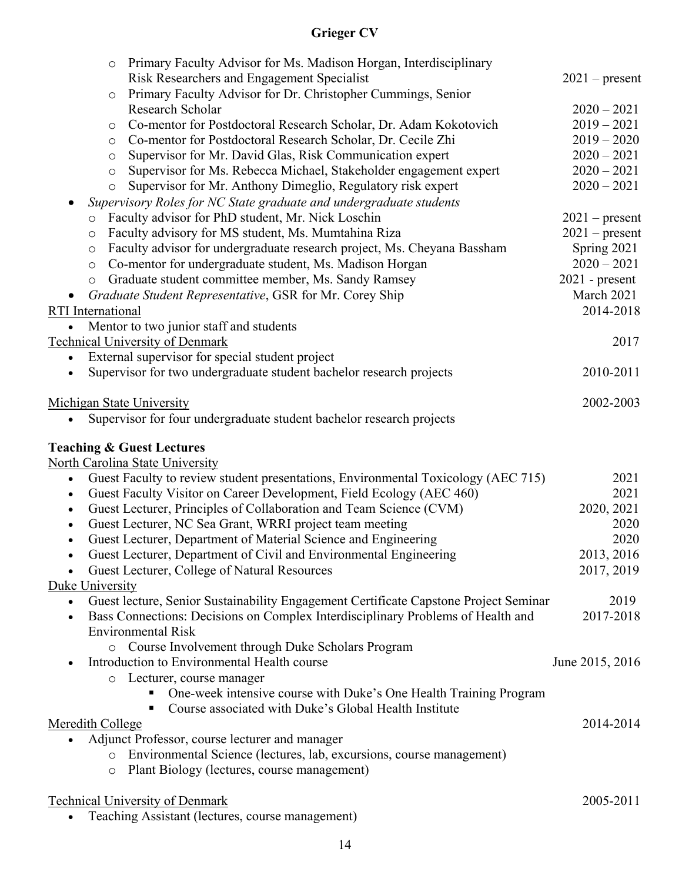|                   |         | $\circ$ | Primary Faculty Advisor for Ms. Madison Horgan, Interdisciplinary<br>Risk Researchers and Engagement Specialist | $2021$ – present |      |
|-------------------|---------|---------|-----------------------------------------------------------------------------------------------------------------|------------------|------|
|                   |         | $\circ$ | Primary Faculty Advisor for Dr. Christopher Cummings, Senior                                                    |                  |      |
|                   |         |         | Research Scholar                                                                                                | $2020 - 2021$    |      |
|                   |         | $\circ$ | Co-mentor for Postdoctoral Research Scholar, Dr. Adam Kokotovich                                                | $2019 - 2021$    |      |
|                   |         | $\circ$ | Co-mentor for Postdoctoral Research Scholar, Dr. Cecile Zhi                                                     | $2019 - 2020$    |      |
|                   |         | $\circ$ | Supervisor for Mr. David Glas, Risk Communication expert                                                        | $2020 - 2021$    |      |
|                   |         | $\circ$ | Supervisor for Ms. Rebecca Michael, Stakeholder engagement expert                                               | $2020 - 2021$    |      |
|                   |         | $\circ$ | Supervisor for Mr. Anthony Dimeglio, Regulatory risk expert                                                     | $2020 - 2021$    |      |
|                   |         |         | Supervisory Roles for NC State graduate and undergraduate students                                              |                  |      |
|                   | $\circ$ |         | Faculty advisor for PhD student, Mr. Nick Loschin                                                               | $2021$ – present |      |
|                   | $\circ$ |         | Faculty advisory for MS student, Ms. Mumtahina Riza                                                             | $2021$ – present |      |
|                   | $\circ$ |         | Faculty advisor for undergraduate research project, Ms. Cheyana Bassham                                         | Spring 2021      |      |
|                   | $\circ$ |         | Co-mentor for undergraduate student, Ms. Madison Horgan                                                         | $2020 - 2021$    |      |
|                   | $\circ$ |         | Graduate student committee member, Ms. Sandy Ramsey                                                             | $2021$ - present |      |
|                   |         |         | Graduate Student Representative, GSR for Mr. Corey Ship                                                         | March 2021       |      |
| RTI International |         |         |                                                                                                                 | 2014-2018        |      |
|                   |         |         | Mentor to two junior staff and students                                                                         |                  |      |
|                   |         |         | <b>Technical University of Denmark</b>                                                                          |                  | 2017 |
|                   |         |         | External supervisor for special student project                                                                 |                  |      |
| $\bullet$         |         |         | Supervisor for two undergraduate student bachelor research projects                                             | 2010-2011        |      |
|                   |         |         | <b>Michigan State University</b>                                                                                | 2002-2003        |      |
|                   |         |         | Supervisor for four undergraduate student bachelor research projects                                            |                  |      |
|                   |         |         |                                                                                                                 |                  |      |
|                   |         |         | <b>Teaching &amp; Guest Lectures</b>                                                                            |                  |      |
|                   |         |         | North Carolina State University                                                                                 |                  |      |
| $\bullet$         |         |         | Guest Faculty to review student presentations, Environmental Toxicology (AEC 715)                               |                  | 2021 |
| $\bullet$         |         |         | Guest Faculty Visitor on Career Development, Field Ecology (AEC 460)                                            |                  | 2021 |
| $\bullet$         |         |         | Guest Lecturer, Principles of Collaboration and Team Science (CVM)                                              | 2020, 2021       |      |
| $\bullet$         |         |         | Guest Lecturer, NC Sea Grant, WRRI project team meeting                                                         |                  | 2020 |
| $\bullet$         |         |         | Guest Lecturer, Department of Material Science and Engineering                                                  |                  | 2020 |
|                   |         |         | Guest Lecturer, Department of Civil and Environmental Engineering                                               | 2013, 2016       |      |
|                   |         |         | Guest Lecturer, College of Natural Resources                                                                    | 2017, 2019       |      |
| Duke University   |         |         | Guest lecture, Senior Sustainability Engagement Certificate Capstone Project Seminar                            |                  | 2019 |
| $\bullet$         |         |         | Bass Connections: Decisions on Complex Interdisciplinary Problems of Health and                                 | 2017-2018        |      |
| $\bullet$         |         |         | <b>Environmental Risk</b>                                                                                       |                  |      |
|                   |         |         | O Course Involvement through Duke Scholars Program                                                              |                  |      |
|                   |         |         | Introduction to Environmental Health course                                                                     | June 2015, 2016  |      |
|                   |         |         | o Lecturer, course manager                                                                                      |                  |      |
|                   |         |         | One-week intensive course with Duke's One Health Training Program                                               |                  |      |
|                   |         |         | Course associated with Duke's Global Health Institute                                                           |                  |      |
| Meredith College  |         |         |                                                                                                                 | 2014-2014        |      |
|                   |         |         | Adjunct Professor, course lecturer and manager                                                                  |                  |      |
|                   |         | $\circ$ | Environmental Science (lectures, lab, excursions, course management)                                            |                  |      |
|                   |         | $\circ$ | Plant Biology (lectures, course management)                                                                     |                  |      |
|                   |         |         | <b>Technical University of Denmark</b>                                                                          | 2005-2011        |      |
|                   |         |         | Teaching Assistant (lectures, course management)                                                                |                  |      |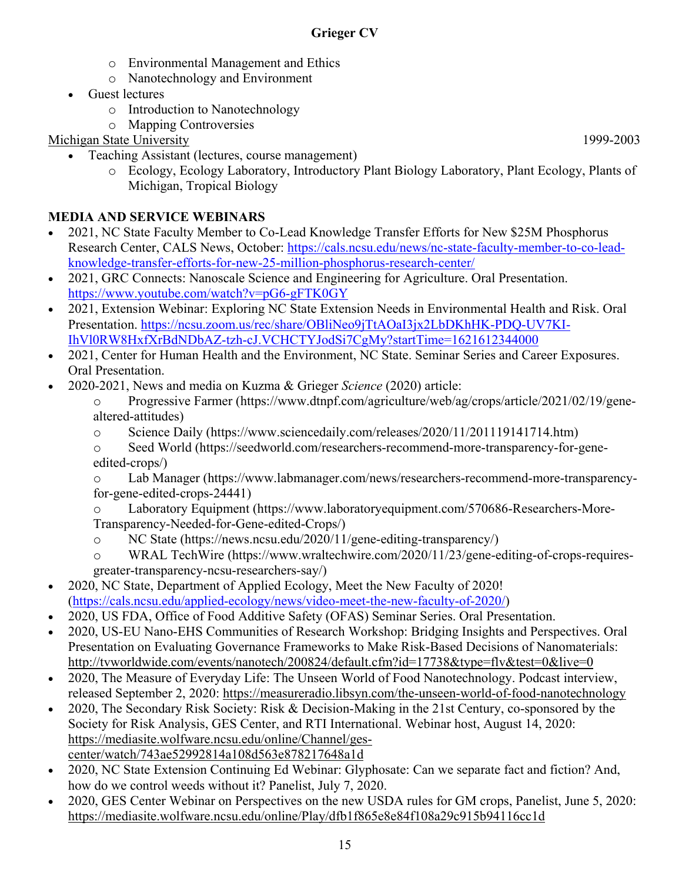- o Environmental Management and Ethics
- o Nanotechnology and Environment
- Guest lectures
	- o Introduction to Nanotechnology
	- o Mapping Controversies

Michigan State University 1999-2003

- Teaching Assistant (lectures, course management)
	- o Ecology, Ecology Laboratory, Introductory Plant Biology Laboratory, Plant Ecology, Plants of Michigan, Tropical Biology

# **MEDIA AND SERVICE WEBINARS**

- 2021, NC State Faculty Member to Co-Lead Knowledge Transfer Efforts for New \$25M Phosphorus Research Center, CALS News, October: [https://cals.ncsu.edu/news/nc-state-faculty-member-to-co-lead](https://cals.ncsu.edu/news/nc-state-faculty-member-to-co-lead-knowledge-transfer-efforts-for-new-25-million-phosphorus-research-center/)[knowledge-transfer-efforts-for-new-25-million-phosphorus-research-center/](https://cals.ncsu.edu/news/nc-state-faculty-member-to-co-lead-knowledge-transfer-efforts-for-new-25-million-phosphorus-research-center/)
- 2021, GRC Connects: Nanoscale Science and Engineering for Agriculture. Oral Presentation. <https://www.youtube.com/watch?v=pG6-gFTK0GY>
- 2021, Extension Webinar: Exploring NC State Extension Needs in Environmental Health and Risk. Oral Presentation. [https://ncsu.zoom.us/rec/share/OBliNeo9jTtAOaI3jx2LbDKhHK-PDQ-UV7KI-](https://ncsu.zoom.us/rec/share/OBliNeo9jTtAOaI3jx2LbDKhHK-PDQ-UV7KI-IhVl0RW8HxfXrBdNDbAZ-tzh-cJ.VCHCTYJodSi7CgMy?startTime=1621612344000)[IhVl0RW8HxfXrBdNDbAZ-tzh-cJ.VCHCTYJodSi7CgMy?startTime=1621612344000](https://ncsu.zoom.us/rec/share/OBliNeo9jTtAOaI3jx2LbDKhHK-PDQ-UV7KI-IhVl0RW8HxfXrBdNDbAZ-tzh-cJ.VCHCTYJodSi7CgMy?startTime=1621612344000)
- 2021, Center for Human Health and the Environment, NC State. Seminar Series and Career Exposures. Oral Presentation.
- 2020-2021, News and media on Kuzma & Grieger *Science* (2020) article:

o Progressive Farmer (https://www.dtnpf.com/agriculture/web/ag/crops/article/2021/02/19/genealtered-attitudes)

- o Science Daily [\(https://www.sciencedaily.com/releases/2020/11/201119141714.htm\)](https://www.sciencedaily.com/releases/2020/11/201119141714.htm)
- o Seed World [\(https://seedworld.com/researchers-recommend-more-transparency-for-gene](https://seedworld.com/researchers-recommend-more-transparency-for-gene-edited-crops/)[edited-crops/\)](https://seedworld.com/researchers-recommend-more-transparency-for-gene-edited-crops/)

Lab Manager [\(https://www.labmanager.com/news/researchers-recommend-more-transparency](https://www.labmanager.com/news/researchers-recommend-more-transparency-for-gene-edited-crops-24441)[for-gene-edited-crops-24441\)](https://www.labmanager.com/news/researchers-recommend-more-transparency-for-gene-edited-crops-24441)

Laboratory Equipment [\(https://www.laboratoryequipment.com/570686-Researchers-More-](https://www.laboratoryequipment.com/570686-Researchers-More-Transparency-Needed-for-Gene-edited-Crops/)[Transparency-Needed-for-Gene-edited-Crops/\)](https://www.laboratoryequipment.com/570686-Researchers-More-Transparency-Needed-for-Gene-edited-Crops/)

- o NC State [\(https://news.ncsu.edu/2020/11/gene-editing-transparency/\)](https://news.ncsu.edu/2020/11/gene-editing-transparency/)
- o WRAL TechWire [\(https://www.wraltechwire.com/2020/11/23/gene-editing-of-crops-requires](https://www.wraltechwire.com/2020/11/23/gene-editing-of-crops-requires-greater-transparency-ncsu-researchers-say/)[greater-transparency-ncsu-researchers-say/\)](https://www.wraltechwire.com/2020/11/23/gene-editing-of-crops-requires-greater-transparency-ncsu-researchers-say/)
- 2020, NC State, Department of Applied Ecology, Meet the New Faculty of 2020! [\(https://cals.ncsu.edu/applied-ecology/news/video-meet-the-new-faculty-of-2020/\)](https://cals.ncsu.edu/applied-ecology/news/video-meet-the-new-faculty-of-2020/)
- 2020, US FDA, Office of Food Additive Safety (OFAS) Seminar Series. Oral Presentation.
- 2020, US-EU Nano-EHS Communities of Research Workshop: Bridging Insights and Perspectives. Oral Presentation on Evaluating Governance Frameworks to Make Risk-Based Decisions of Nanomaterials: <http://tvworldwide.com/events/nanotech/200824/default.cfm?id=17738&type=flv&test=0&live=0>
- 2020, The Measure of Everyday Life: The Unseen World of Food Nanotechnology. Podcast interview, released September 2, 2020:<https://measureradio.libsyn.com/the-unseen-world-of-food-nanotechnology>
- 2020, The Secondary Risk Society: Risk & Decision-Making in the 21st Century, co-sponsored by the Society for Risk Analysis, GES Center, and RTI International. Webinar host, August 14, 2020: [https://mediasite.wolfware.ncsu.edu/online/Channel/ges](https://mediasite.wolfware.ncsu.edu/online/Channel/ges-center/watch/743ae52992814a108d563e878217648a1d)[center/watch/743ae52992814a108d563e878217648a1d](https://mediasite.wolfware.ncsu.edu/online/Channel/ges-center/watch/743ae52992814a108d563e878217648a1d)
- 2020, NC State Extension Continuing Ed Webinar: Glyphosate: Can we separate fact and fiction? And, how do we control weeds without it? Panelist, July 7, 2020.
- 2020, GES Center Webinar on Perspectives on the new USDA rules for GM crops, Panelist, June 5, 2020: <https://mediasite.wolfware.ncsu.edu/online/Play/dfb1f865e8e84f108a29c915b94116cc1d>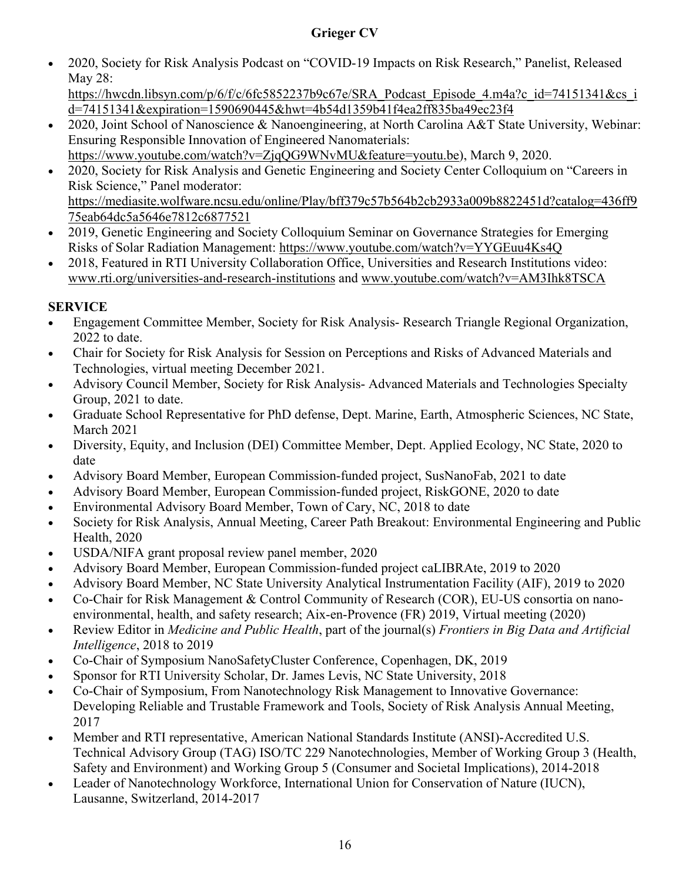• 2020, Society for Risk Analysis Podcast on "COVID-19 Impacts on Risk Research," Panelist, Released May 28:

[https://hwcdn.libsyn.com/p/6/f/c/6fc5852237b9c67e/SRA\\_Podcast\\_Episode\\_4.m4a?c\\_id=74151341&cs\\_i](https://hwcdn.libsyn.com/p/6/f/c/6fc5852237b9c67e/SRA_Podcast_Episode_4.m4a?c_id=74151341&cs_id=74151341&expiration=1590690445&hwt=4b54d1359b41f4ea2ff835ba49ec23f4) [d=74151341&expiration=1590690445&hwt=4b54d1359b41f4ea2ff835ba49ec23f4](https://hwcdn.libsyn.com/p/6/f/c/6fc5852237b9c67e/SRA_Podcast_Episode_4.m4a?c_id=74151341&cs_id=74151341&expiration=1590690445&hwt=4b54d1359b41f4ea2ff835ba49ec23f4)

- 2020, Joint School of Nanoscience & Nanoengineering, at North Carolina A&T State University, Webinar: Ensuring Responsible Innovation of Engineered Nanomaterials: [https://www.youtube.com/watch?v=ZjqQG9WNvMU&feature=youtu.be\)](https://www.youtube.com/watch?v=ZjqQG9WNvMU&feature=youtu.be), March 9, 2020.
- 2020, Society for Risk Analysis and Genetic Engineering and Society Center Colloquium on "Careers in Risk Science," Panel moderator: [https://mediasite.wolfware.ncsu.edu/online/Play/bff379c57b564b2cb2933a009b8822451d?catalog=436ff9](https://mediasite.wolfware.ncsu.edu/online/Play/bff379c57b564b2cb2933a009b8822451d?catalog=436ff975eab64dc5a5646e7812c6877521) [75eab64dc5a5646e7812c6877521](https://mediasite.wolfware.ncsu.edu/online/Play/bff379c57b564b2cb2933a009b8822451d?catalog=436ff975eab64dc5a5646e7812c6877521)
- 2019, Genetic Engineering and Society Colloquium Seminar on Governance Strategies for Emerging Risks of Solar Radiation Management:<https://www.youtube.com/watch?v=YYGEuu4Ks4Q>
- 2018, Featured in RTI University Collaboration Office, Universities and Research Institutions video: [www.rti.org/universities-and-research-institutions](http://www.rti.org/universities-and-research-institutions) and [www.youtube.com/watch?v=AM3Ihk8TSCA](https://www.youtube.com/watch?v=AM3Ihk8TSCA)

## **SERVICE**

- Engagement Committee Member, Society for Risk Analysis- Research Triangle Regional Organization, 2022 to date.
- Chair for Society for Risk Analysis for Session on Perceptions and Risks of Advanced Materials and Technologies, virtual meeting December 2021.
- Advisory Council Member, Society for Risk Analysis- Advanced Materials and Technologies Specialty Group, 2021 to date.
- Graduate School Representative for PhD defense, Dept. Marine, Earth, Atmospheric Sciences, NC State, March 2021
- Diversity, Equity, and Inclusion (DEI) Committee Member, Dept. Applied Ecology, NC State, 2020 to date
- Advisory Board Member, European Commission-funded project, SusNanoFab, 2021 to date
- Advisory Board Member, European Commission-funded project, RiskGONE, 2020 to date
- Environmental Advisory Board Member, Town of Cary, NC, 2018 to date
- Society for Risk Analysis, Annual Meeting, Career Path Breakout: Environmental Engineering and Public Health, 2020
- USDA/NIFA grant proposal review panel member, 2020
- Advisory Board Member, European Commission-funded project caLIBRAte, 2019 to 2020
- Advisory Board Member, NC State University Analytical Instrumentation Facility (AIF), 2019 to 2020
- Co-Chair for Risk Management & Control Community of Research (COR), EU-US consortia on nanoenvironmental, health, and safety research; Aix-en-Provence (FR) 2019, Virtual meeting (2020)
- Review Editor in *Medicine and Public Health*, part of the journal(s) *Frontiers in Big Data and Artificial Intelligence*, 2018 to 2019
- Co-Chair of Symposium NanoSafetyCluster Conference, Copenhagen, DK, 2019
- Sponsor for RTI University Scholar, Dr. James Levis, NC State University, 2018
- Co-Chair of Symposium, From Nanotechnology Risk Management to Innovative Governance: Developing Reliable and Trustable Framework and Tools, Society of Risk Analysis Annual Meeting, 2017
- Member and RTI representative, American National Standards Institute (ANSI)-Accredited U.S. Technical Advisory Group (TAG) ISO/TC 229 Nanotechnologies, Member of Working Group 3 (Health, Safety and Environment) and Working Group 5 (Consumer and Societal Implications), 2014-2018
- Leader of Nanotechnology Workforce, International Union for Conservation of Nature (IUCN), Lausanne, Switzerland, 2014-2017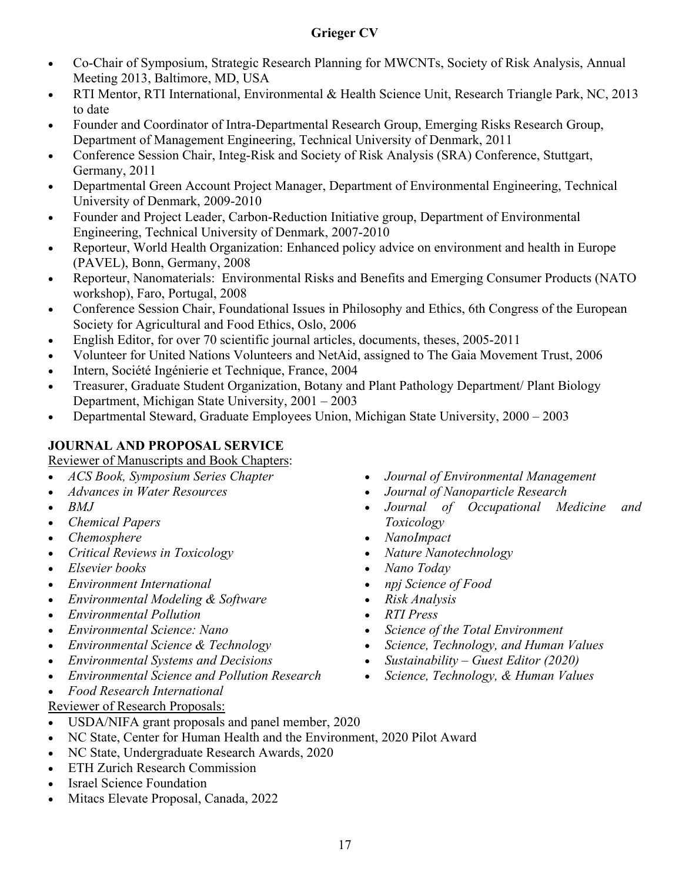- Co-Chair of Symposium, Strategic Research Planning for MWCNTs, Society of Risk Analysis, Annual Meeting 2013, Baltimore, MD, USA
- RTI Mentor, RTI International, Environmental & Health Science Unit, Research Triangle Park, NC, 2013 to date
- Founder and Coordinator of Intra-Departmental Research Group, Emerging Risks Research Group, Department of Management Engineering, Technical University of Denmark, 2011
- Conference Session Chair, Integ-Risk and Society of Risk Analysis (SRA) Conference, Stuttgart, Germany, 2011
- Departmental Green Account Project Manager, Department of Environmental Engineering, Technical University of Denmark, 2009-2010
- Founder and Project Leader, Carbon-Reduction Initiative group, Department of Environmental Engineering, Technical University of Denmark, 2007-2010
- Reporteur, World Health Organization: Enhanced policy advice on environment and health in Europe (PAVEL), Bonn, Germany, 2008
- Reporteur, Nanomaterials: Environmental Risks and Benefits and Emerging Consumer Products (NATO workshop), Faro, Portugal, 2008
- Conference Session Chair, Foundational Issues in Philosophy and Ethics, 6th Congress of the European Society for Agricultural and Food Ethics, Oslo, 2006
- English Editor, for over 70 scientific journal articles, documents, theses, 2005-2011
- Volunteer for United Nations Volunteers and NetAid, assigned to The Gaia Movement Trust, 2006
- Intern, Société Ingénierie et Technique, France, 2004
- Treasurer, Graduate Student Organization, Botany and Plant Pathology Department/ Plant Biology Department, Michigan State University, 2001 – 2003
- Departmental Steward, Graduate Employees Union, Michigan State University, 2000 2003

## **JOURNAL AND PROPOSAL SERVICE**

Reviewer of Manuscripts and Book Chapters:

- *ACS Book, Symposium Series Chapter*
- *Advances in Water Resources*
- *BMJ*
- *Chemical Papers*
- *Chemosphere*
- *Critical Reviews in Toxicology*
- *Elsevier books*
- *Environment International*
- *Environmental Modeling & Software*
- *Environmental Pollution*
- *Environmental Science: Nano*
- *Environmental Science & Technology*
- *Environmental Systems and Decisions*
- *Environmental Science and Pollution Research*
- *Food Research International*

#### Reviewer of Research Proposals:

- USDA/NIFA grant proposals and panel member, 2020
- NC State, Center for Human Health and the Environment, 2020 Pilot Award
- NC State, Undergraduate Research Awards, 2020
- ETH Zurich Research Commission
- Israel Science Foundation
- Mitacs Elevate Proposal, Canada, 2022
- *Journal of Environmental Management*
- *Journal of Nanoparticle Research*
- *Journal of Occupational Medicine and Toxicology*
- *NanoImpact*
- *Nature Nanotechnology*
- *Nano Today*
- *npj Science of Food*
- *Risk Analysis*
- *RTI Press*
- *Science of the Total Environment*
- *Science, Technology, and Human Values*
- *Sustainability – Guest Editor (2020)*
- *Science, Technology, & Human Values*